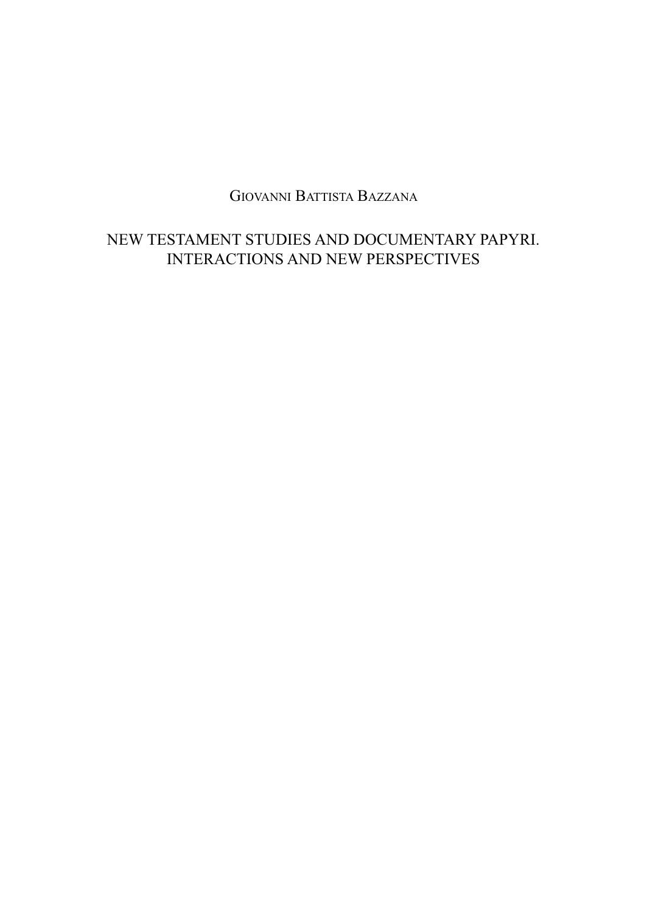GIOVANNI BATTISTA BAZZANA

# NEW TESTAMENT STUDIES AND DOCUMENTARY PAPYRI. INTERACTIONS AND NEW PERSPECTIVES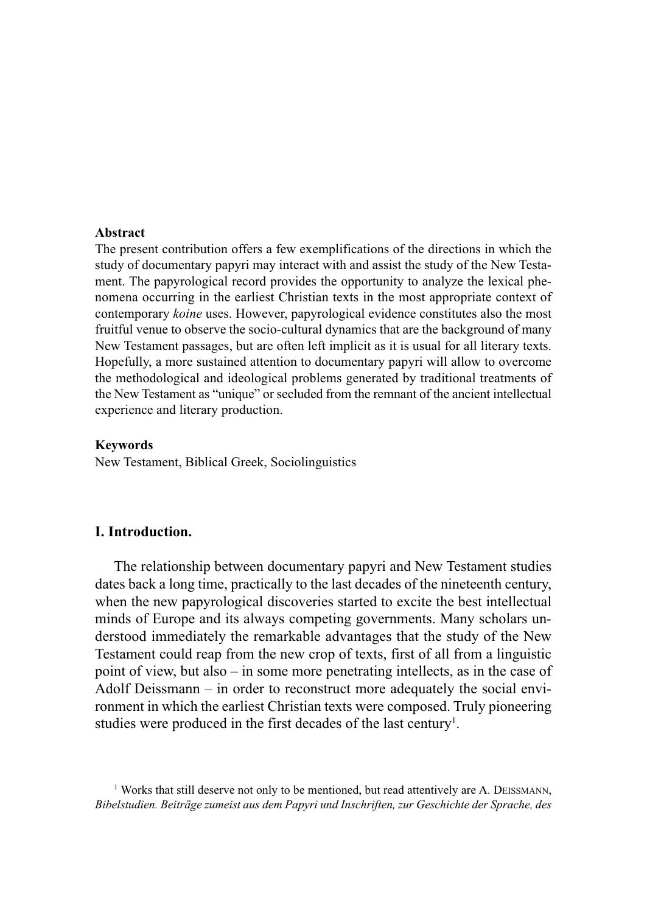#### **Abstract**

The present contribution offers a few exemplifications of the directions in which the study of documentary papyri may interact with and assist the study of the New Testament. The papyrological record provides the opportunity to analyze the lexical phenomena occurring in the earliest Christian texts in the most appropriate context of contemporary *koine* uses. However, papyrological evidence constitutes also the most fruitful venue to observe the socio-cultural dynamics that are the background of many New Testament passages, but are often left implicit as it is usual for all literary texts. Hopefully, a more sustained attention to documentary papyri will allow to overcome the methodological and ideological problems generated by traditional treatments of the New Testament as "unique" or secluded from the remnant of the ancient intellectual experience and literary production.

#### **Keywords**

New Testament, Biblical Greek, Sociolinguistics

# **I. Introduction.**

The relationship between documentary papyri and New Testament studies dates back a long time, practically to the last decades of the nineteenth century, when the new papyrological discoveries started to excite the best intellectual minds of Europe and its always competing governments. Many scholars understood immediately the remarkable advantages that the study of the New Testament could reap from the new crop of texts, first of all from a linguistic point of view, but also – in some more penetrating intellects, as in the case of Adolf Deissmann – in order to reconstruct more adequately the social environment in which the earliest Christian texts were composed. Truly pioneering studies were produced in the first decades of the last century<sup>1</sup>.

<sup>1</sup> Works that still deserve not only to be mentioned, but read attentively are A. DEISSMANN, *Bibelstudien. Beiträge zumeist aus dem Papyri und Inschriften, zur Geschichte der Sprache, des*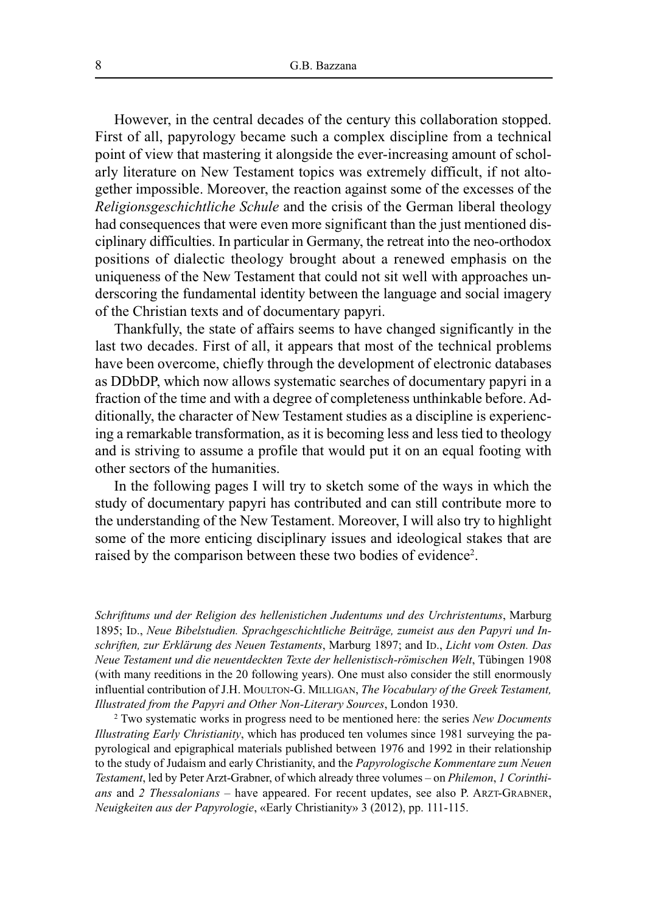However, in the central decades of the century this collaboration stopped. First of all, papyrology became such a complex discipline from a technical point of view that mastering it alongside the ever-increasing amount of scholarly literature on New Testament topics was extremely difficult, if not altogether impossible. Moreover, the reaction against some of the excesses of the *Religionsgeschichtliche Schule* and the crisis of the German liberal theology had consequences that were even more significant than the just mentioned disciplinary difficulties. In particular in Germany, the retreat into the neo-orthodox positions of dialectic theology brought about a renewed emphasis on the uniqueness of the New Testament that could not sit well with approaches underscoring the fundamental identity between the language and social imagery of the Christian texts and of documentary papyri.

Thankfully, the state of affairs seems to have changed significantly in the last two decades. First of all, it appears that most of the technical problems have been overcome, chiefly through the development of electronic databases as DDbDP, which now allows systematic searches of documentary papyri in a fraction of the time and with a degree of completeness unthinkable before. Additionally, the character of New Testament studies as a discipline is experiencing a remarkable transformation, as it is becoming less and less tied to theology and is striving to assume a profile that would put it on an equal footing with other sectors of the humanities.

In the following pages I will try to sketch some of the ways in which the study of documentary papyri has contributed and can still contribute more to the understanding of the New Testament. Moreover, I will also try to highlight some of the more enticing disciplinary issues and ideological stakes that are raised by the comparison between these two bodies of evidence<sup>2</sup>.

*Schrifttums und der Religion des hellenistichen Judentums und des Urchristentums*, Marburg 1895; ID., *Neue Bibelstudien. Sprachgeschichtliche Beiträge, zumeist aus den Papyri und Inschriften, zur Erklärung des Neuen Testaments*, Marburg 1897; and ID., *Licht vom Osten. Das Neue Testament und die neuentdeckten Texte der hellenistisch-römischen Welt*, Tübingen 1908 (with many reeditions in the 20 following years). One must also consider the still enormously influential contribution of J.H. MOULTON-G. MILLIGAN, *The Vocabulary of the Greek Testament, Illustrated from the Papyri and Other Non-Literary Sources*, London 1930.

<sup>2</sup> Two systematic works in progress need to be mentioned here: the series *New Documents Illustrating Early Christianity*, which has produced ten volumes since 1981 surveying the papyrological and epigraphical materials published between 1976 and 1992 in their relationship to the study of Judaism and early Christianity, and the *Papyrologische Kommentare zum Neuen Testament*, led by Peter Arzt-Grabner, of which already three volumes – on *Philemon*, *1 Corinthians* and *2 Thessalonians* – have appeared. For recent updates, see also P. ARZT-GRABNER, *Neuigkeiten aus der Papyrologie*, «Early Christianity» 3 (2012), pp. 111-115.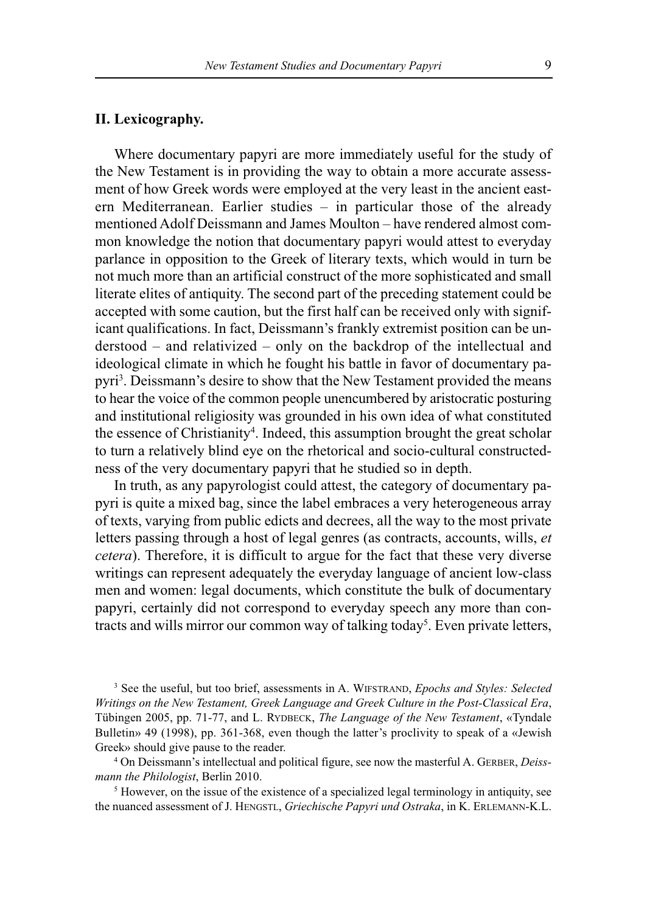### **II. Lexicography.**

Where documentary papyri are more immediately useful for the study of the New Testament is in providing the way to obtain a more accurate assessment of how Greek words were employed at the very least in the ancient eastern Mediterranean. Earlier studies – in particular those of the already mentioned Adolf Deissmann and James Moulton – have rendered almost common knowledge the notion that documentary papyri would attest to everyday parlance in opposition to the Greek of literary texts, which would in turn be not much more than an artificial construct of the more sophisticated and small literate elites of antiquity. The second part of the preceding statement could be accepted with some caution, but the first half can be received only with significant qualifications. In fact, Deissmann's frankly extremist position can be understood – and relativized – only on the backdrop of the intellectual and ideological climate in which he fought his battle in favor of documentary papyri 3 . Deissmann's desire to show that the New Testament provided the means to hear the voice of the common people unencumbered by aristocratic posturing and institutional religiosity was grounded in his own idea of what constituted the essence of Christianity<sup>4</sup>. Indeed, this assumption brought the great scholar to turn a relatively blind eye on the rhetorical and socio-cultural constructedness of the very documentary papyri that he studied so in depth.

In truth, as any papyrologist could attest, the category of documentary papyri is quite a mixed bag, since the label embraces a very heterogeneous array of texts, varying from public edicts and decrees, all the way to the most private letters passing through a host of legal genres (as contracts, accounts, wills, *et cetera*). Therefore, it is difficult to argue for the fact that these very diverse writings can represent adequately the everyday language of ancient low-class men and women: legal documents, which constitute the bulk of documentary papyri, certainly did not correspond to everyday speech any more than contracts and wills mirror our common way of talking today<sup>5</sup>. Even private letters,

<sup>3</sup> See the useful, but too brief, assessments in A. WIFSTRAND, *Epochs and Styles: Selected Writings on the New Testament, Greek Language and Greek Culture in the Post-Classical Era*, Tübingen 2005, pp. 71-77, and L. RYDBECK, *The Language of the New Testament*, «Tyndale Bulletin» 49 (1998), pp. 361-368, even though the latter's proclivity to speak of a «Jewish Greek» should give pause to the reader.

<sup>4</sup> On Deissmann's intellectual and political figure, see now the masterful A. GERBER, *Deissmann the Philologist*, Berlin 2010.

<sup>5</sup> However, on the issue of the existence of a specialized legal terminology in antiquity, see the nuanced assessment of J. HENGSTL, *Griechische Papyri und Ostraka*, in K. ERLEMANN-K.L.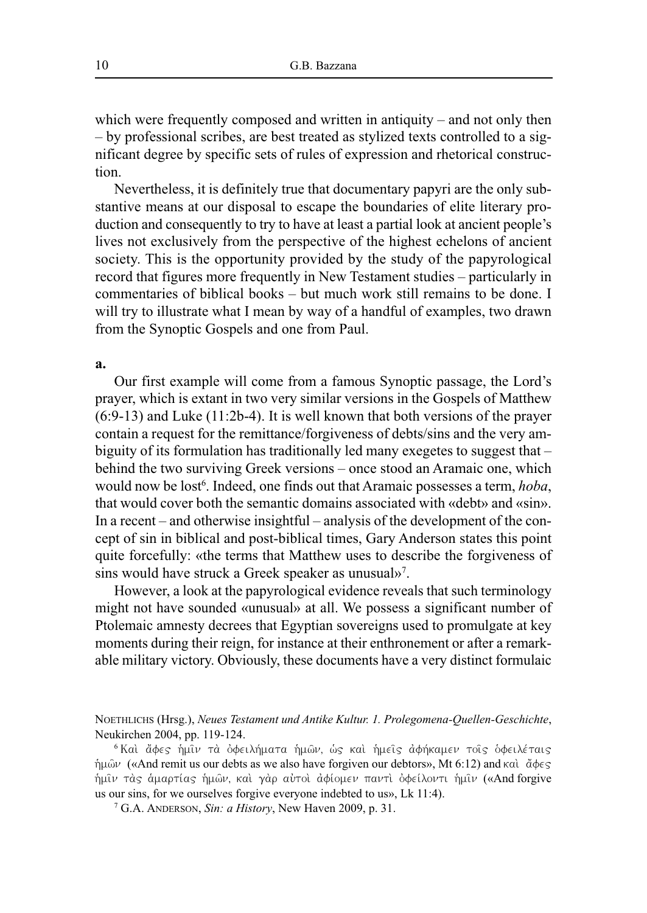which were frequently composed and written in antiquity – and not only then – by professional scribes, are best treated as stylized texts controlled to a significant degree by specific sets of rules of expression and rhetorical construction.

Nevertheless, it is definitely true that documentary papyri are the only substantive means at our disposal to escape the boundaries of elite literary production and consequently to try to have at least a partial look at ancient people's lives not exclusively from the perspective of the highest echelons of ancient society. This is the opportunity provided by the study of the papyrological record that figures more frequently in New Testament studies – particularly in commentaries of biblical books – but much work still remains to be done. I will try to illustrate what I mean by way of a handful of examples, two drawn from the Synoptic Gospels and one from Paul.

#### **a.**

Our first example will come from a famous Synoptic passage, the Lord's prayer, which is extant in two very similar versions in the Gospels of Matthew (6:9-13) and Luke (11:2b-4). It is well known that both versions of the prayer contain a request for the remittance/forgiveness of debts/sins and the very ambiguity of its formulation has traditionally led many exegetes to suggest that – behind the two surviving Greek versions – once stood an Aramaic one, which would now be lost 6 . Indeed, one finds out that Aramaic possesses a term, *hoba*, that would cover both the semantic domains associated with «debt» and «sin». In a recent – and otherwise insightful – analysis of the development of the concept of sin in biblical and post-biblical times, Gary Anderson states this point quite forcefully: «the terms that Matthew uses to describe the forgiveness of sins would have struck a Greek speaker as unusual»<sup>7</sup>.

However, a look at the papyrological evidence reveals that such terminology might not have sounded «unusual» at all. We possess a significant number of Ptolemaic amnesty decrees that Egyptian sovereigns used to promulgate at key moments during their reign, for instance at their enthronement or after a remarkable military victory. Obviously, these documents have a very distinct formulaic

NOETHLICHS (Hrsg.), *Neues Testament und Antike Kultur. 1. Prolegomena-Quellen-Geschichte*, Neukirchen 2004, pp. 119-124.

<sup>7</sup> G.A. ANDERSON, *Sin: a History*, New Haven 2009, p. 31.

<sup>&</sup>lt;sup>6</sup> Kaì ἄφες ἡμῖν τὰ ὀφειλήματα ἡμῶν, ὡς καὶ ἡμεῖς ἀφήκαμεν τοῖς ὁφειλέταις ήμων («And remit us our debts as we also have forgiven our debtors», Mt 6:12) and καὶ ἄφες ήμιν τας αμαρτίας ήμων, και γαρ αυτοι αφίομεν παντι οφείλοντι ήμιν («And forgive us our sins, for we ourselves forgive everyone indebted to us», Lk 11:4).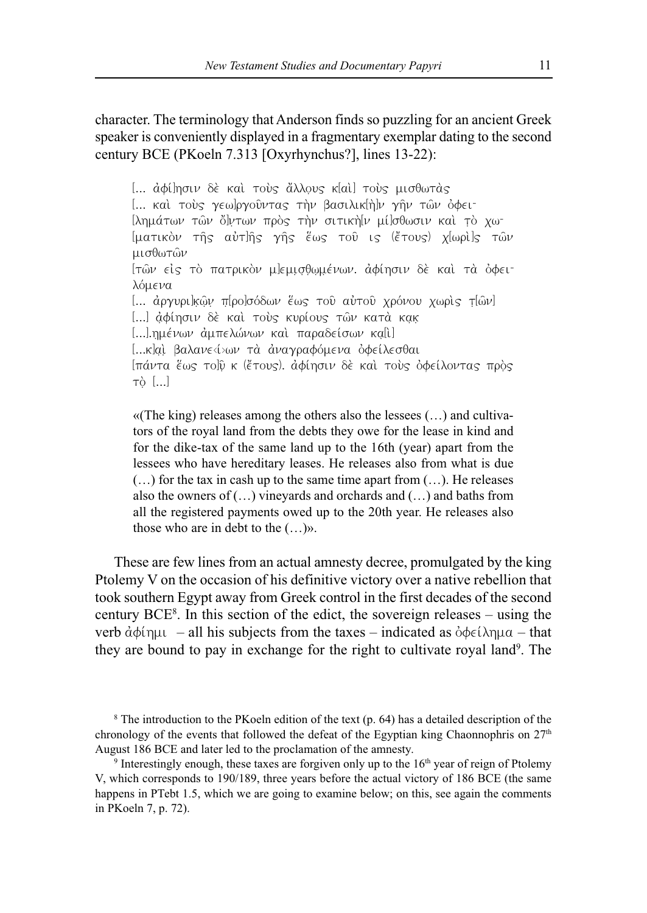character. The terminology that Anderson finds so puzzling for an ancient Greek speaker is conveniently displayed in a fragmentary exemplar dating to the second century BCE (PKoeln 7.313 [Oxyrhynchus?], lines 13-22):

[... αφί]ησιν δε και τούς ἄλλους κ[αι] τούς μισθωτας [... καὶ τοὺς γεω]ργοῦντας τὴν βασιλικ[ὴ]ν γῆν τῶν ὀφειlλημάτων τῶν ὄψτων πρὸς τὴν σιτικὴ[ν μί]σθωσιν καὶ τὸ χω-[ματικὸν τῆς αὐτ]ῆς γῆς ἕως τοῦ ις (ἔτους) χ[ωρὶ]ς τῶν μισθωτών [τῶν είς τὸ πατρικὸν μ|εμισθωμένων. ἀφίησιν δὲ καὶ τὰ ὀφει<sup>-</sup> λόμενα [... αργυρι]κῶν π[ρο]σόδων ἕως τοῦ αὐτοῦ χρόνου χωρὶς τ[ῶν] [...] ἀφίησιν δέ και τούς κυρίους των κατά κακ [...]. ημένων άμπελώνων και παραδείσων κα[ι] [...κ]aί βαλανε<ί>ων τα αναγραφόμενα οφείλεσθαι [πάντα έως το]ῦ κ (ἔτους). ἀφίησιν δὲ και τους ὀφείλοντας προς  $\tau$ ò $[...]$ 

«(The king) releases among the others also the lessees (…) and cultivators of the royal land from the debts they owe for the lease in kind and for the dike-tax of the same land up to the 16th (year) apart from the lessees who have hereditary leases. He releases also from what is due (…) for the tax in cash up to the same time apart from (…). He releases also the owners of (…) vineyards and orchards and (…) and baths from all the registered payments owed up to the 20th year. He releases also those who are in debt to the (…)».

These are few lines from an actual amnesty decree, promulgated by the king Ptolemy V on the occasion of his definitive victory over a native rebellion that took southern Egypt away from Greek control in the first decades of the second century BCE8 . In this section of the edict, the sovereign releases – using the verb  $\dot{\alpha}$  $\phi$ i qui – all his subjects from the taxes – indicated as  $\dot{\alpha}$  $\phi$  $\epsilon$ i  $\lambda$ qua – that they are bound to pay in exchange for the right to cultivate royal land<sup>9</sup>. The

<sup>8</sup> The introduction to the PKoeln edition of the text (p. 64) has a detailed description of the chronology of the events that followed the defeat of the Egyptian king Chaonnophris on 27<sup>th</sup> August 186 BCE and later led to the proclamation of the amnesty.

<sup>9</sup> Interestingly enough, these taxes are forgiven only up to the 16<sup>th</sup> year of reign of Ptolemy V, which corresponds to 190/189, three years before the actual victory of 186 BCE (the same happens in PTebt 1.5, which we are going to examine below; on this, see again the comments in PKoeln 7, p. 72).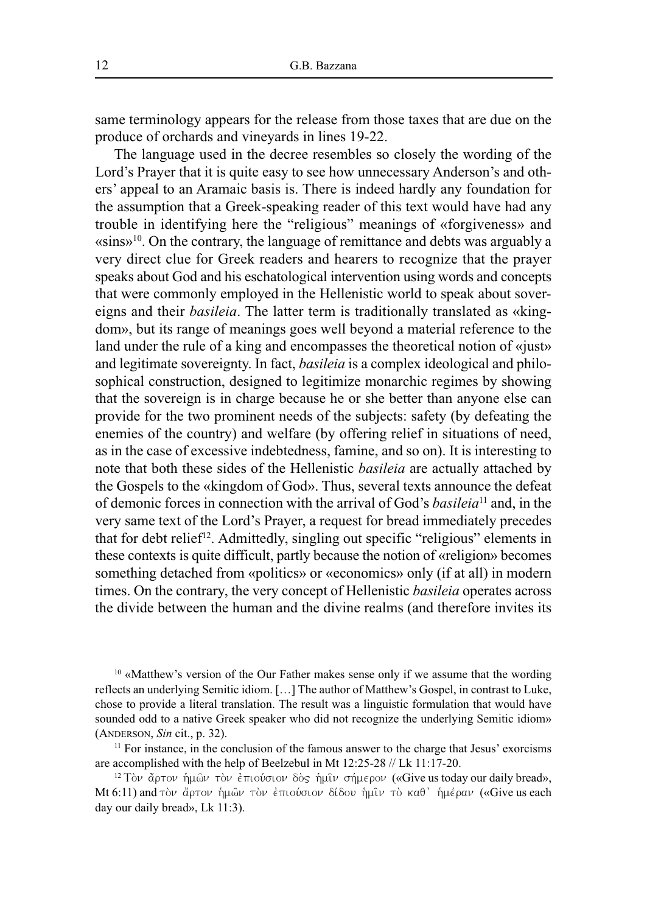same terminology appears for the release from those taxes that are due on the produce of orchards and vineyards in lines 19-22.

The language used in the decree resembles so closely the wording of the Lord's Prayer that it is quite easy to see how unnecessary Anderson's and others' appeal to an Aramaic basis is. There is indeed hardly any foundation for the assumption that a Greek-speaking reader of this text would have had any trouble in identifying here the "religious" meanings of «forgiveness» and «sins»10 . On the contrary, the language of remittance and debts was arguably a very direct clue for Greek readers and hearers to recognize that the prayer speaks about God and his eschatological intervention using words and concepts that were commonly employed in the Hellenistic world to speak about sovereigns and their *basileia*. The latter term is traditionally translated as «kingdom», but its range of meanings goes well beyond a material reference to the land under the rule of a king and encompasses the theoretical notion of «just» and legitimate sovereignty. In fact, *basileia* is a complex ideological and philosophical construction, designed to legitimize monarchic regimes by showing that the sovereign is in charge because he or she better than anyone else can provide for the two prominent needs of the subjects: safety (by defeating the enemies of the country) and welfare (by offering relief in situations of need, as in the case of excessive indebtedness, famine, and so on). It is interesting to note that both these sides of the Hellenistic *basileia* are actually attached by the Gospels to the «kingdom of God». Thus, several texts announce the defeat of demonic forces in connection with the arrival of God's *basileia*<sup>11</sup> and, in the very same text of the Lord's Prayer, a request for bread immediately precedes that for debt relief<sup>12</sup>. Admittedly, singling out specific "religious" elements in these contexts is quite difficult, partly because the notion of «religion» becomes something detached from «politics» or «economics» only (if at all) in modern times. On the contrary, the very concept of Hellenistic *basileia* operates across the divide between the human and the divine realms (and therefore invites its

<sup>10</sup> «Matthew's version of the Our Father makes sense only if we assume that the wording reflects an underlying Semitic idiom. […] The author of Matthew's Gospel, in contrast to Luke, chose to provide a literal translation. The result was a linguistic formulation that would have sounded odd to a native Greek speaker who did not recognize the underlying Semitic idiom» (ANDERSON, *Sin* cit., p. 32).

 $11$  For instance, in the conclusion of the famous answer to the charge that Jesus' exorcisms are accomplished with the help of Beelzebul in Mt 12:25-28 // Lk 11:17-20.

<sup>12</sup> Τὸν ἄρτον ἡμῶν τὸν ἐπιούσιον δὸς ἡμῖν σήμερον («Give us today our daily bread», Mt 6:11) and τὸν ἄρτον ἡμῶν τὸν ἐπιούσιον δίδου ἡμῖν τὸ καθ' ἡμέραν («Give us each day our daily bread», Lk 11:3).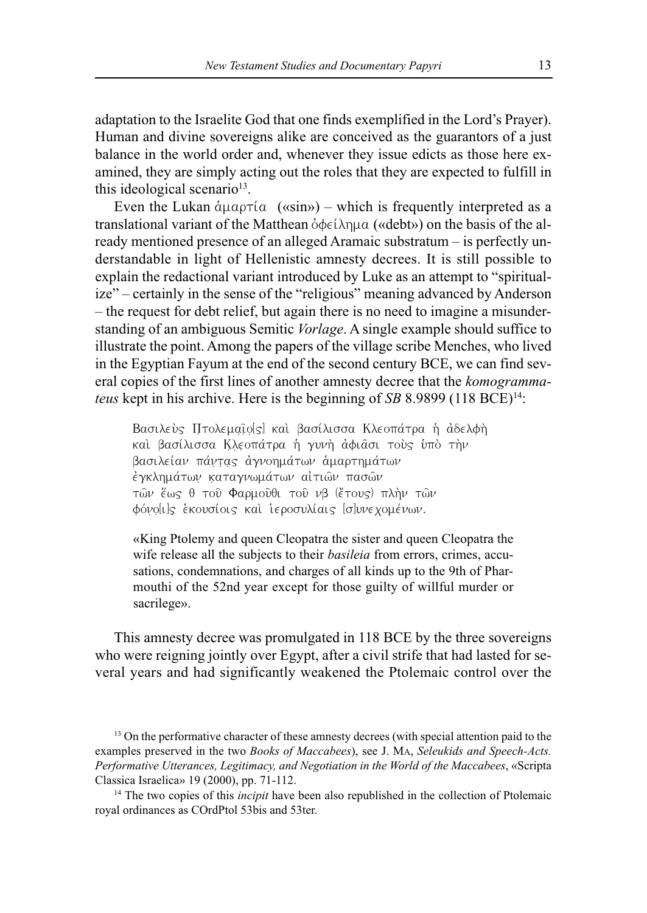adaptation to the Israelite God that one finds exemplified in the Lord's Prayer). Human and divine sovereigns alike are conceived as the guarantors of a just balance in the world order and, whenever they issue edicts as those here examined, they are simply acting out the roles that they are expected to fulfill in this ideological scenario<sup>13</sup>.

Even the Lukan  $\alpha_{\mu\alpha\rho\tau}(\alpha$  («sin») – which is frequently interpreted as a translational variant of the Matthean  $\phi \phi \in (\lambda \cap \mu \alpha \phi)$  on the basis of the already mentioned presence of an alleged Aramaic substratum – is perfectly understandable in light of Hellenistic amnesty decrees. It is still possible to explain the redactional variant introduced by Luke as an attempt to "spiritualize" – certainly in the sense of the "religious" meaning advanced by Anderson – the request for debt relief, but again there is no need to imagine a misunderstanding of an ambiguous Semitic *Vorlage*. A single example should suffice to illustrate the point. Among the papers of the village scribe Menches, who lived in the Egyptian Fayum at the end of the second century BCE, we can find several copies of the first lines of another amnesty decree that the *komogrammateus* kept in his archive. Here is the beginning of *SB* 8.9899 (118 BCE)<sup>14</sup>:

Baσιλεύς Πτολεμαιο[s] και βασίλισσα Κλεοπάτρα ή άδελφή καί βασίλισσα Κλεοπάτρα ή γυνή άφιασι τούς υπό τήν βασιλείαν πάντας αγνοημάτων αμαρτημάτων εγκλημάτων καταγνωμάτων αίτιων πασών τῶν ἕως θ τοῦ Φαρμοῦθι τοῦ νβ (ἔτους) πλὴν τῶν φόνο[ι]ς έκουσίοις και ιεροσυλίαις [σ]υνεχομένων.

«King Ptolemy and queen Cleopatra the sister and queen Cleopatra the wife release all the subjects to their *basileia* from errors, crimes, accusations, condemnations, and charges of all kinds up to the 9th of Pharmouthi of the 52nd year except for those guilty of willful murder or sacrilege».

This amnesty decree was promulgated in 118 BCE by the three sovereigns who were reigning jointly over Egypt, after a civil strife that had lasted for several years and had significantly weakened the Ptolemaic control over the

<sup>&</sup>lt;sup>13</sup> On the performative character of these amnesty decrees (with special attention paid to the examples preserved in the two *Books of Maccabees*), see J. MA, *Seleukids and Speech-Acts. Performative Utterances, Legitimacy, and Negotiation in the World of the Maccabees*, «Scripta Classica Israelica» 19 (2000), pp. 71-112.

<sup>&</sup>lt;sup>14</sup> The two copies of this *incipit* have been also republished in the collection of Ptolemaic royal ordinances as COrdPtol 53bis and 53ter.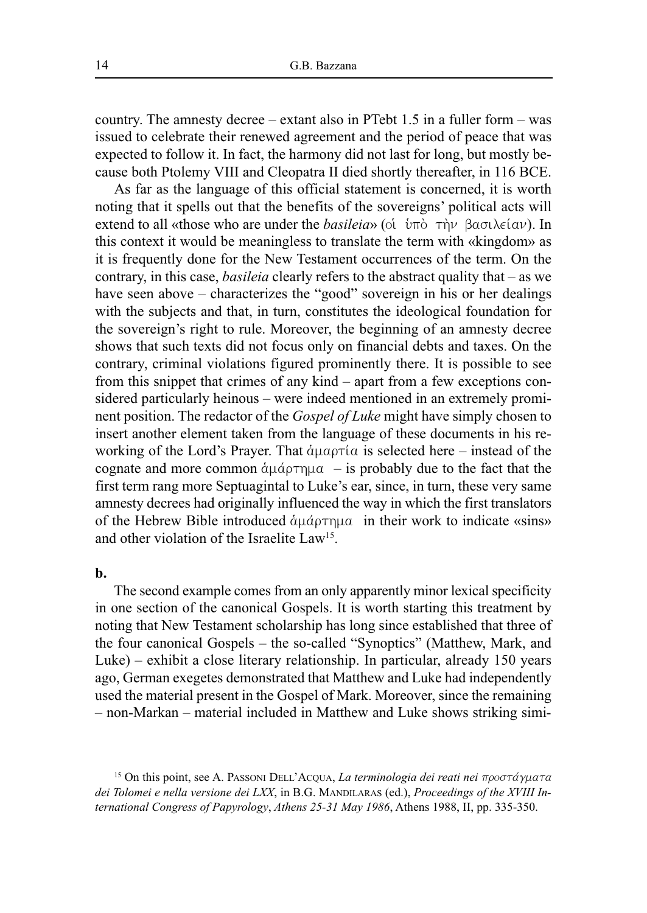country. The amnesty decree – extant also in PTebt 1.5 in a fuller form – was issued to celebrate their renewed agreement and the period of peace that was expected to follow it. In fact, the harmony did not last for long, but mostly because both Ptolemy VIII and Cleopatra II died shortly thereafter, in 116 BCE.

As far as the language of this official statement is concerned, it is worth noting that it spells out that the benefits of the sovereigns' political acts will extend to all «those who are under the *basileia*» (oi  $\hat{u}$ <sub>U</sub>)  $\hat{v}$   $\hat{v}$   $\hat{v}$   $\hat{v}$   $\hat{v}$   $\hat{v}$   $\hat{v}$   $\hat{v}$   $\hat{v}$   $\hat{v}$   $\hat{v}$   $\hat{v}$   $\hat{v}$   $\hat{v}$   $\hat{v}$   $\hat{v}$   $\hat{v}$   $\hat{v}$   $\hat{v}$   $\$ this context it would be meaningless to translate the term with «kingdom» as it is frequently done for the New Testament occurrences of the term. On the contrary, in this case, *basileia* clearly refers to the abstract quality that – as we have seen above – characterizes the "good" sovereign in his or her dealings with the subjects and that, in turn, constitutes the ideological foundation for the sovereign's right to rule. Moreover, the beginning of an amnesty decree shows that such texts did not focus only on financial debts and taxes. On the contrary, criminal violations figured prominently there. It is possible to see from this snippet that crimes of any kind – apart from a few exceptions considered particularly heinous – were indeed mentioned in an extremely prominent position. The redactor of the *Gospel of Luke* might have simply chosen to insert another element taken from the language of these documents in his reworking of the Lord's Prayer. That  $\alpha_{\mu\alpha\rho\tau}(\alpha)$  is selected here – instead of the cognate and more common  $\alpha\mu\alpha - i\sin\beta$  is probably due to the fact that the first term rang more Septuagintal to Luke's ear, since, in turn, these very same amnesty decrees had originally influenced the way in which the first translators of the Hebrew Bible introduced  $\alpha\mu\alpha\rho\tau\eta\mu\alpha$  in their work to indicate «sins» and other violation of the Israelite Law<sup>15</sup>.

#### **b.**

The second example comes from an only apparently minor lexical specificity in one section of the canonical Gospels. It is worth starting this treatment by noting that New Testament scholarship has long since established that three of the four canonical Gospels – the so-called "Synoptics" (Matthew, Mark, and Luke) – exhibit a close literary relationship. In particular, already 150 years ago, German exegetes demonstrated that Matthew and Luke had independently used the material present in the Gospel of Mark. Moreover, since the remaining – non-Markan – material included in Matthew and Luke shows striking simi-

<sup>15</sup> On this point, see A. PASSONI DELL'ACQUA, *La terminologia dei reati nei* προστάγματα *dei Tolomei e nella versione dei LXX*, in B.G. MANDILARAS (ed.), *Proceedings of the XVIII International Congress of Papyrology*, *Athens 25-31 May 1986*, Athens 1988, II, pp. 335-350.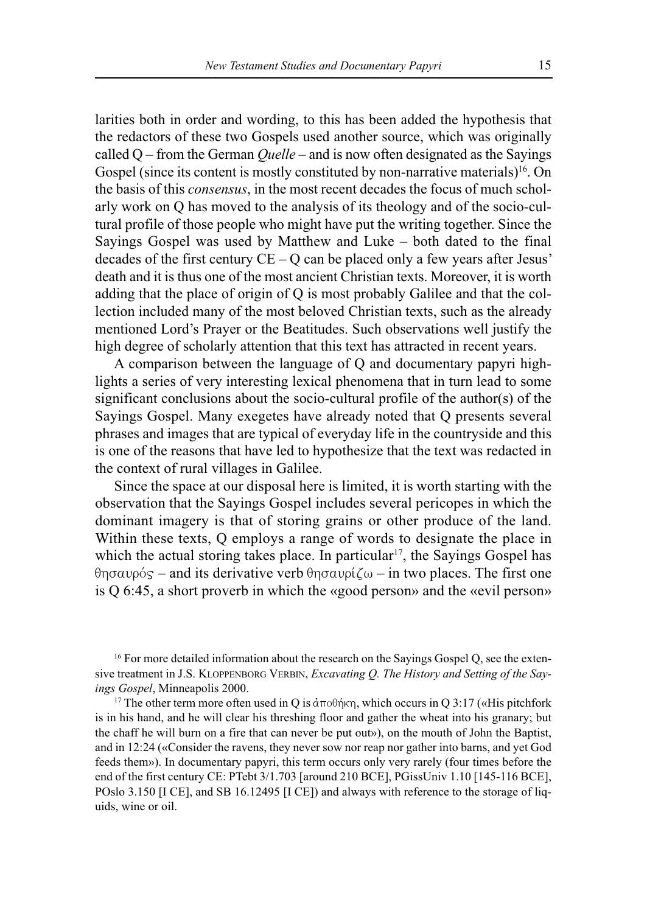larities both in order and wording, to this has been added the hypothesis that the redactors of these two Gospels used another source, which was originally called Q – from the German *Quelle* – and is now often designated as the Sayings Gospel (since its content is mostly constituted by non-narrative materials)<sup>16</sup>. On the basis of this *consensus*, in the most recent decades the focus of much scholarly work on Q has moved to the analysis of its theology and of the socio-cultural profile of those people who might have put the writing together. Since the Sayings Gospel was used by Matthew and Luke – both dated to the final decades of the first century  $CE - Q$  can be placed only a few years after Jesus' death and it is thus one of the most ancient Christian texts. Moreover, it is worth adding that the place of origin of Q is most probably Galilee and that the collection included many of the most beloved Christian texts, such as the already mentioned Lord's Prayer or the Beatitudes. Such observations well justify the high degree of scholarly attention that this text has attracted in recent years.

A comparison between the language of Q and documentary papyri highlights a series of very interesting lexical phenomena that in turn lead to some significant conclusions about the socio-cultural profile of the author(s) of the Sayings Gospel. Many exegetes have already noted that Q presents several phrases and images that are typical of everyday life in the countryside and this is one of the reasons that have led to hypothesize that the text was redacted in the context of rural villages in Galilee.

Since the space at our disposal here is limited, it is worth starting with the observation that the Sayings Gospel includes several pericopes in which the dominant imagery is that of storing grains or other produce of the land. Within these texts, Q employs a range of words to designate the place in which the actual storing takes place. In particular<sup>17</sup>, the Sayings Gospel has  $\theta$ ησαυρός – and its derivative verb  $\theta$ ησαυρίζω – in two places. The first one is Q 6:45, a short proverb in which the «good person» and the «evil person»

<sup>16</sup> For more detailed information about the research on the Sayings Gospel Q, see the extensive treatment in J.S. KLOPPENBORG VERBIN, *Excavating Q. The History and Setting of the Sayings Gospel*, Minneapolis 2000.

<sup>17</sup> The other term more often used in Q is  $\alpha \pi$  of  $\beta \pi$ , which occurs in Q 3:17 («His pitchfork is in his hand, and he will clear his threshing floor and gather the wheat into his granary; but the chaff he will burn on a fire that can never be put out»), on the mouth of John the Baptist, and in 12:24 («Consider the ravens, they never sow nor reap nor gather into barns, and yet God feeds them»). In documentary papyri, this term occurs only very rarely (four times before the end of the first century CE: PTebt 3/1.703 [around 210 BCE], PGissUniv 1.10 [145-116 BCE], POslo 3.150 [I CE], and SB 16.12495 [I CE]) and always with reference to the storage of liquids, wine or oil.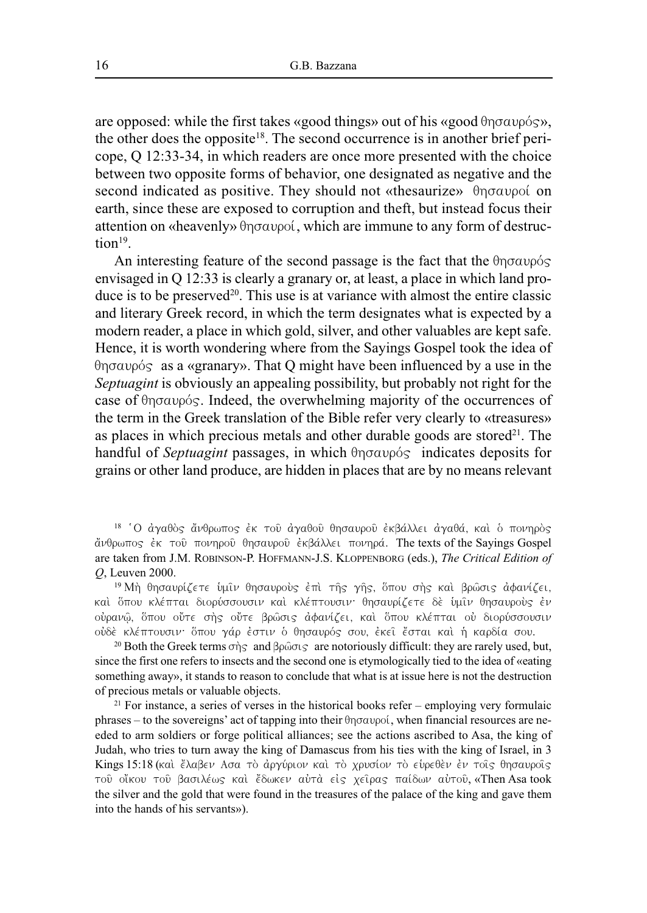are opposed: while the first takes «good things» out of his «good  $\theta$ ησαυρός», the other does the opposite<sup>18</sup>. The second occurrence is in another brief pericope, Q 12:33-34, in which readers are once more presented with the choice between two opposite forms of behavior, one designated as negative and the second indicated as positive. They should not «thesaurize»  $\theta$ ησαυροί on earth, since these are exposed to corruption and theft, but instead focus their attention on «heavenly»  $\theta$ ησαυροί, which are immune to any form of destruction<sup>19</sup>.

An interesting feature of the second passage is the fact that the  $\theta$ ησαυρός envisaged in Q 12:33 is clearly a granary or, at least, a place in which land produce is to be preserved<sup>20</sup>. This use is at variance with almost the entire classic and literary Greek record, in which the term designates what is expected by a modern reader, a place in which gold, silver, and other valuables are kept safe. Hence, it is worth wondering where from the Sayings Gospel took the idea of  $\theta$ ησαυρός as a «granary». That Q might have been influenced by a use in the *Septuagint* is obviously an appealing possibility, but probably not right for the case of  $\theta$ ησαυρός. Indeed, the overwhelming majority of the occurrences of the term in the Greek translation of the Bible refer very clearly to «treasures» as places in which precious metals and other durable goods are stored $2<sup>1</sup>$ . The handful of *Septuagint* passages, in which  $\theta$ ησαυρός indicates deposits for grains or other land produce, are hidden in places that are by no means relevant

<sup>18</sup> 'Ο άγαθὸς ἄνθρωπος ἐκ τοῦ ἀγαθοῦ θησαυροῦ ἐκβάλλει ἀγαθά, καὶ ὁ πονηρὸς άνθρωπος έκ τοῦ πονηροῦ θησαυροῦ ἐκβάλλει πονηρά. The texts of the Sayings Gospel are taken from J.M. ROBINSON-P. HOFFMANN-J.S. KLOPPENBORG (eds.), *The Critical Edition of Q*, Leuven 2000.

<sup>19</sup> Μή θησαυρίζετε υμιν θησαυρους έπι της γής, όπου σης και βρώσις αφανίζει, καί ὅπου κλέπται διορύσσουσιν και κλέπτουσιν· θησαυρίζετε δε ὑμῖν θησαυροὺς ἐν ούρανῶ, ὅπου οὔτε σής οὔτε βρῶσις ἀφανίζει, καὶ ὅπου κλέπται οὐ διορύσσουσιν ούδέ κλέπτουσιν· ὅπου γάρ ἐστιν ὁ θησαυρός σου, ἐκεῖ ἔσται καὶ ἡ καρδία σου.

<sup>20</sup> Both the Greek terms σής and βρώσις are notoriously difficult: they are rarely used, but, since the first one refers to insects and the second one is etymologically tied to the idea of «eating something away», it stands to reason to conclude that what is at issue here is not the destruction of precious metals or valuable objects.

<sup>21</sup> For instance, a series of verses in the historical books refer – employing very formulaic phrases – to the sovereigns' act of tapping into their  $\theta$ ησαυροί, when financial resources are needed to arm soldiers or forge political alliances; see the actions ascribed to Asa, the king of Judah, who tries to turn away the king of Damascus from his ties with the king of Israel, in 3 Kings 15:18 (και έλαβεν Ασα το άργύριον και το χρυσίον το ευρεθεν έν τοις θησαυροις τού οἴκου του βασιλέως και ἔδωκεν αὐτὰ είς χείρας παίδων αὐτου, «Then Asa took the silver and the gold that were found in the treasures of the palace of the king and gave them into the hands of his servants»).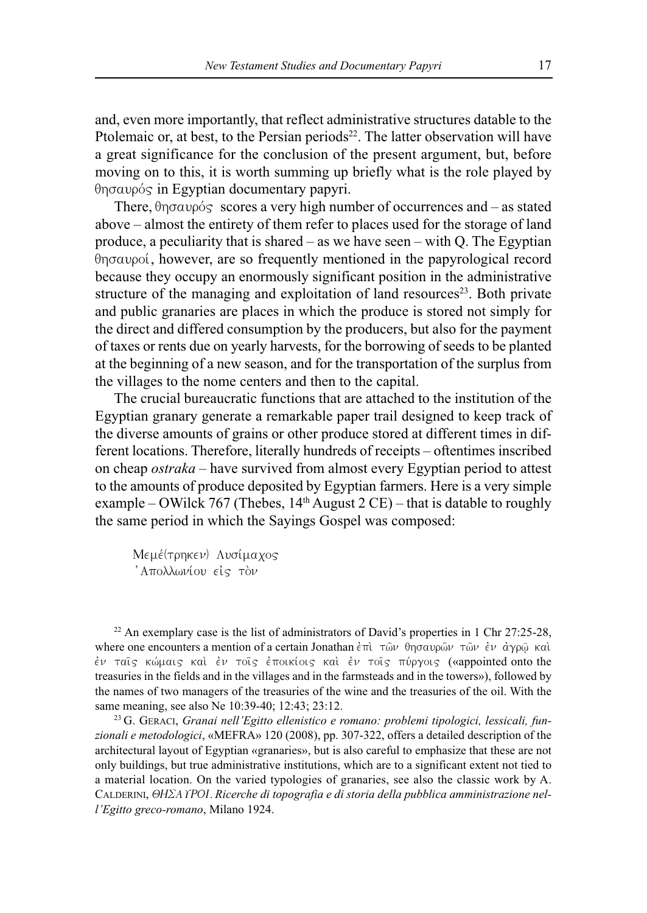and, even more importantly, that reflect administrative structures datable to the Ptolemaic or, at best, to the Persian periods<sup>22</sup>. The latter observation will have a great significance for the conclusion of the present argument, but, before moving on to this, it is worth summing up briefly what is the role played by  $\theta$ ησαυρός in Egyptian documentary papyri.

There,  $\theta$ ησαυρός scores a very high number of occurrences and – as stated above – almost the entirety of them refer to places used for the storage of land produce, a peculiarity that is shared – as we have seen – with Q. The Egyptian  $\theta$ no $\alpha$ upoi, however, are so frequently mentioned in the papyrological record because they occupy an enormously significant position in the administrative structure of the managing and exploitation of land resources<sup>23</sup>. Both private and public granaries are places in which the produce is stored not simply for the direct and differed consumption by the producers, but also for the payment of taxes or rents due on yearly harvests, for the borrowing of seeds to be planted at the beginning of a new season, and for the transportation of the surplus from the villages to the nome centers and then to the capital.

The crucial bureaucratic functions that are attached to the institution of the Egyptian granary generate a remarkable paper trail designed to keep track of the diverse amounts of grains or other produce stored at different times in different locations. Therefore, literally hundreds of receipts – oftentimes inscribed on cheap *ostraka* – have survived from almost every Egyptian period to attest to the amounts of produce deposited by Egyptian farmers. Here is a very simple example – OWilck 767 (Thebes,  $14<sup>th</sup>$  August 2 CE) – that is datable to roughly the same period in which the Sayings Gospel was composed:

Mεμέ(τρηκεν) Λυσίμαχος ' Απολλωνίου είς τον

<sup>22</sup> An exemplary case is the list of administrators of David's properties in 1 Chr 27:25-28, where one encounters a mention of a certain Jonathan έπι τῶν θησαυρῶν τῶν ἐν ἀγρῷ και έν ταΐς κώμαις καί έν τοΐς έποικίοις καί έν τοΐς πύργοις («appointed onto the treasuries in the fields and in the villages and in the farmsteads and in the towers»), followed by the names of two managers of the treasuries of the wine and the treasuries of the oil. With the same meaning, see also Ne 10:39-40; 12:43; 23:12.

<sup>23</sup> G. GERACI, *Granai nell'Egitto ellenistico e romano: problemi tipologici, lessicali, funzionali e metodologici*, «MEFRA» 120 (2008), pp. 307-322, offers a detailed description of the architectural layout of Egyptian «granaries», but is also careful to emphasize that these are not only buildings, but true administrative institutions, which are to a significant extent not tied to a material location. On the varied typologies of granaries, see also the classic work by A. CALDERINI, QHSAUROI*.Ricerche di topografia e di storia della pubblica amministrazione nell'Egitto greco-romano*, Milano 1924.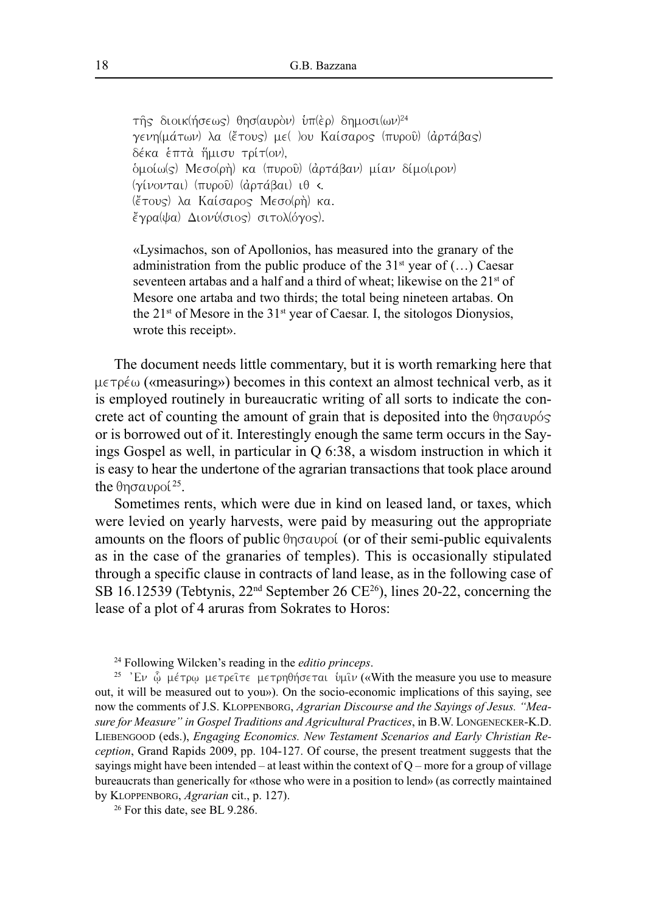τῆς διοικ(ήσεως) θησ(αυρὸν) ὑπ(ὲρ) δημοσι(ων)24 γενη(μάτων) λα (έτους) με( )ου Καίσαρος (πυροῦ) (ἀρτάβας) δέκα επτά ἥμισυ τρίτ(ον),  $\delta$ μοίω(ς) Μεσο(ρή) κα (πυροῦ) (ἀρτάβαν) μίαν δίμο(ιρον) ( $\gamma$ ίνονται) (πυροῦ) (ἀρτάβαι) ι $\theta$  <. (ἔτους) λα Καίσαρος Μεσο(ρή) κα.  $\ell$ γρα(ψα) Διονύ(σιος) σιτολ(όγος).

«Lysimachos, son of Apollonios, has measured into the granary of the administration from the public produce of the  $31<sup>st</sup>$  year of  $(...)$  Caesar seventeen artabas and a half and a third of wheat; likewise on the 21<sup>st</sup> of Mesore one artaba and two thirds; the total being nineteen artabas. On the  $21^{st}$  of Mesore in the  $31^{st}$  year of Caesar. I, the sitologos Dionysios, wrote this receipt».

The document needs little commentary, but it is worth remarking here that  $\mu \in \tau \circ \epsilon_{\omega}$  («measuring») becomes in this context an almost technical verb, as it is employed routinely in bureaucratic writing of all sorts to indicate the concrete act of counting the amount of grain that is deposited into the  $\theta$ ησαυρός or is borrowed out of it. Interestingly enough the same term occurs in the Sayings Gospel as well, in particular in Q 6:38, a wisdom instruction in which it is easy to hear the undertone of the agrarian transactions that took place around the  $\theta$ ησαυροί $^{25}$ .

Sometimes rents, which were due in kind on leased land, or taxes, which were levied on yearly harvests, were paid by measuring out the appropriate amounts on the floors of public  $\theta$ ησαυροί (or of their semi-public equivalents as in the case of the granaries of temples). This is occasionally stipulated through a specific clause in contracts of land lease, as in the following case of SB 16.12539 (Tebtynis,  $22<sup>nd</sup>$  September 26 CE<sup>26</sup>), lines 20-22, concerning the lease of a plot of 4 aruras from Sokrates to Horos:

<sup>24</sup> Following Wilcken's reading in the *editio princeps*.

<sup>25</sup> 'Eν  $\hat{\varphi}$  μέτρ $\varphi$  μετρείτε μετρηθήσεται υμίν («With the measure you use to measure out, it will be measured out to you»). On the socio-economic implications of this saying, see now the comments of J.S. KLOPPENBORG, *Agrarian Discourse and the Sayings of Jesus. "Measure for Measure" in Gospel Traditions and Agricultural Practices*, in B.W. LONGENECKER-K.D. LIEBENGOOD (eds.), *Engaging Economics. New Testament Scenarios and Early Christian Reception*, Grand Rapids 2009, pp. 104-127. Of course, the present treatment suggests that the sayings might have been intended – at least within the context of  $Q$  – more for a group of village bureaucrats than generically for «those who were in a position to lend» (as correctly maintained by KLOPPENBORG, *Agrarian* cit., p. 127).

<sup>26</sup> For this date, see BL 9.286.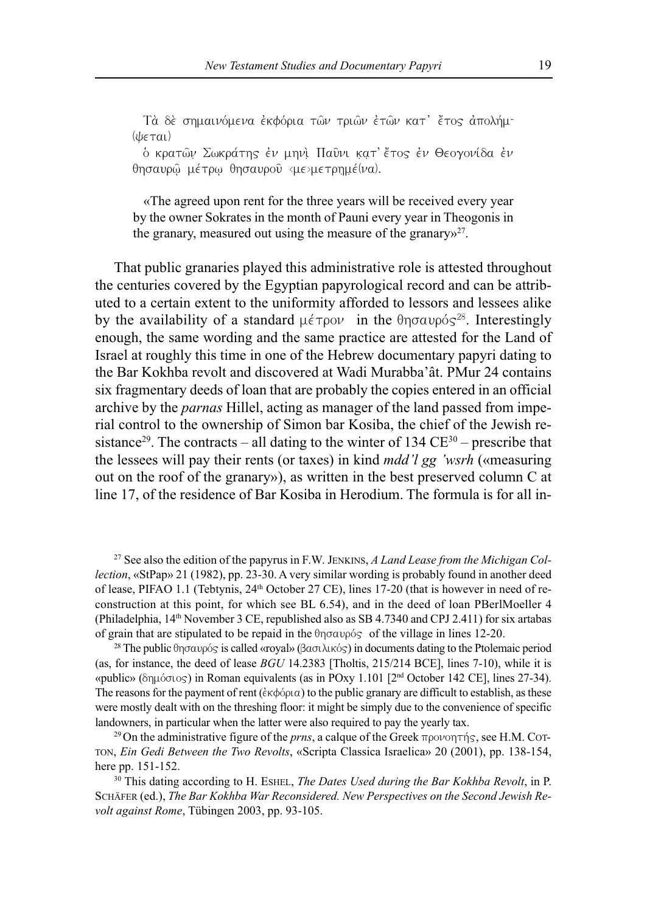Τὰ δὲ σημαινόμενα ἐκφόρια τῶν τριῶν ἐτῶν κατ' ἔτος ἀπολήμ- $(lis\in\tau a)$ 

ό κρατῶν Σωκράτης έν μηνὶ Παῦνι κατ' ἔτος έν Θεογονίδα έν θησαυρῶ μέτρω θησαυροῦ <με>μετρημέ(να).

«The agreed upon rent for the three years will be received every year by the owner Sokrates in the month of Pauni every year in Theogonis in the granary, measured out using the measure of the granary $v^{27}$ .

That public granaries played this administrative role is attested throughout the centuries covered by the Egyptian papyrological record and can be attributed to a certain extent to the uniformity afforded to lessors and lessees alike by the availability of a standard  $\mu \in \tau$  pov in the  $\theta$ ησαυρός<sup>28</sup>. Interestingly enough, the same wording and the same practice are attested for the Land of Israel at roughly this time in one of the Hebrew documentary papyri dating to the Bar Kokhba revolt and discovered at Wadi Murabba'ât. PMur 24 contains six fragmentary deeds of loan that are probably the copies entered in an official archive by the *parnas* Hillel, acting as manager of the land passed from imperial control to the ownership of Simon bar Kosiba, the chief of the Jewish resistance<sup>29</sup>. The contracts – all dating to the winter of 134  $CE^{30}$  – prescribe that the lessees will pay their rents (or taxes) in kind *mdd'l gg 'wsrh* («measuring out on the roof of the granary»), as written in the best preserved column C at line 17, of the residence of Bar Kosiba in Herodium. The formula is for all in-

<sup>27</sup> See also the edition of the papyrus in F.W. JENKINS, *A Land Lease from the Michigan Collection*, «StPap» 21 (1982), pp. 23-30. A very similar wording is probably found in another deed of lease, PIFAO 1.1 (Tebtynis, 24<sup>th</sup> October 27 CE), lines 17-20 (that is however in need of reconstruction at this point, for which see BL 6.54), and in the deed of loan PBerlMoeller 4 (Philadelphia, 14<sup>th</sup> November 3 CE, republished also as SB 4.7340 and CPJ 2.411) for six artabas of grain that are stipulated to be repaid in the  $\theta$ n $\sigma \alpha \nu \rho \delta s$  of the village in lines 12-20.

<sup>28</sup> The public θησαυρός is called «royal» (βασιλικός) in documents dating to the Ptolemaic period (as, for instance, the deed of lease *BGU* 14.2383 [Tholtis, 215/214 BCE], lines 7-10), while it is «public» (δημόσιος) in Roman equivalents (as in POxy 1.101 [2<sup>nd</sup> October 142 CE], lines 27-34). The reasons for the payment of rent ( $\epsilon \kappa \phi \phi \rho \alpha$ ) to the public granary are difficult to establish, as these were mostly dealt with on the threshing floor: it might be simply due to the convenience of specific landowners, in particular when the latter were also required to pay the yearly tax.

<sup>29</sup> On the administrative figure of the *prns*, a calque of the Greek  $\pi \rho o \nu o \eta \tau \eta s$ , see H.M. COT-TON, *Ein Gedi Between the Two Revolts*, «Scripta Classica Israelica» 20 (2001), pp. 138-154, here pp. 151-152.

<sup>30</sup> This dating according to H. ESHEL, *The Dates Used during the Bar Kokhba Revolt*, in P. SCHÄFER (ed.), *The Bar Kokhba War Reconsidered. New Perspectives on the Second Jewish Revolt against Rome*, Tübingen 2003, pp. 93-105.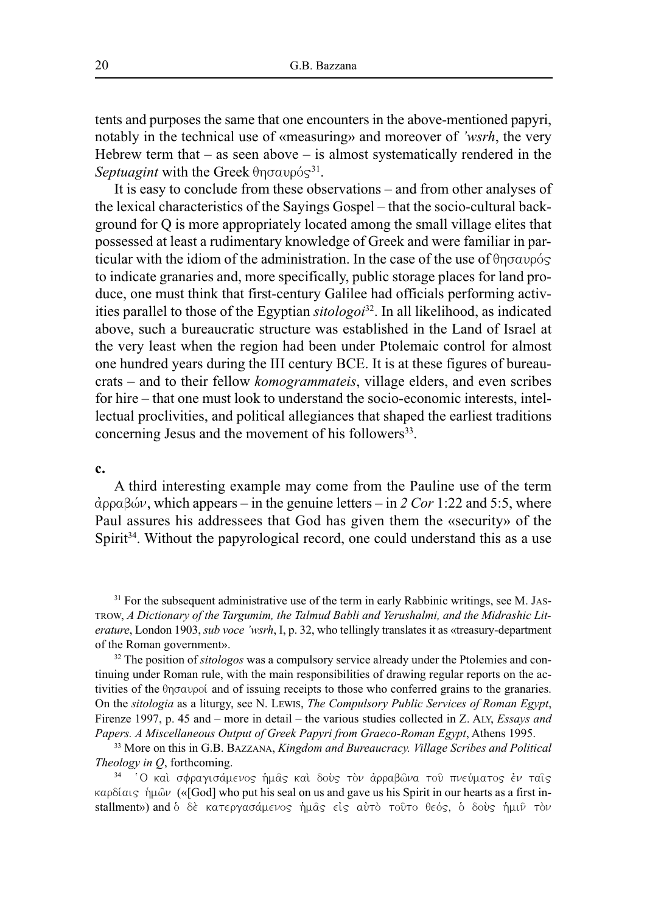tents and purposes the same that one encounters in the above-mentioned papyri, notably in the technical use of «measuring» and moreover of *'wsrh*, the very Hebrew term that – as seen above – is almost systematically rendered in the Septuagint with the Greek θησαυρός<sup>31</sup>.

It is easy to conclude from these observations – and from other analyses of the lexical characteristics of the Sayings Gospel – that the socio-cultural background for Q is more appropriately located among the small village elites that possessed at least a rudimentary knowledge of Greek and were familiar in particular with the idiom of the administration. In the case of the use of  $\theta$ ησαυρός to indicate granaries and, more specifically, public storage places for land produce, one must think that first-century Galilee had officials performing activities parallel to those of the Egyptian *sitologoi* 32 . In all likelihood, as indicated above, such a bureaucratic structure was established in the Land of Israel at the very least when the region had been under Ptolemaic control for almost one hundred years during the III century BCE. It is at these figures of bureaucrats – and to their fellow *komogrammateis*, village elders, and even scribes for hire – that one must look to understand the socio-economic interests, intellectual proclivities, and political allegiances that shaped the earliest traditions concerning Jesus and the movement of his followers $33$ .

#### **c.**

A third interesting example may come from the Pauline use of the term  $\dot{\alpha}$ ρραβών, which appears – in the genuine letters – in 2 *Cor* 1:22 and 5:5, where Paul assures his addressees that God has given them the «security» of the Spirit<sup>34</sup>. Without the papyrological record, one could understand this as a use

<sup>31</sup> For the subsequent administrative use of the term in early Rabbinic writings, see M. JAS-TROW, *A Dictionary of the Targumim, the Talmud Babli and Yerushalmi, and the Midrashic Literature*, London 1903, *sub voce 'wsrh*, I, p. 32, who tellingly translates it as «treasury-department of the Roman government».

<sup>32</sup> The position of *sitologos* was a compulsory service already under the Ptolemies and continuing under Roman rule, with the main responsibilities of drawing regular reports on the activities of the  $\theta$ n $\sigma$ aupoi and of issuing receipts to those who conferred grains to the granaries. On the *sitologia* as a liturgy, see N. LEWIS, *The Compulsory Public Services of Roman Egypt*, Firenze 1997, p. 45 and – more in detail – the various studies collected in Z. ALY, *Essays and Papers. A Miscellaneous Output of Greek Papyri from Graeco-Roman Egypt*, Athens 1995.

<sup>33</sup> More on this in G.B. BAZZANA, *Kingdom and Bureaucracy. Village Scribes and Political Theology in Q*, forthcoming.

34 'Ο καὶ σφραγισάμενος ἡμᾶς καὶ δοὺς τὸν ἀρραβῶνα τοῦ πνεύματος ἐν ταῖς καρδίαις ήμων («[God] who put his seal on us and gave us his Spirit in our hearts as a first installment») and ο δε κατεργασάμενος ήμας είς αύτο τούτο θεός, ο δούς ήμιν τον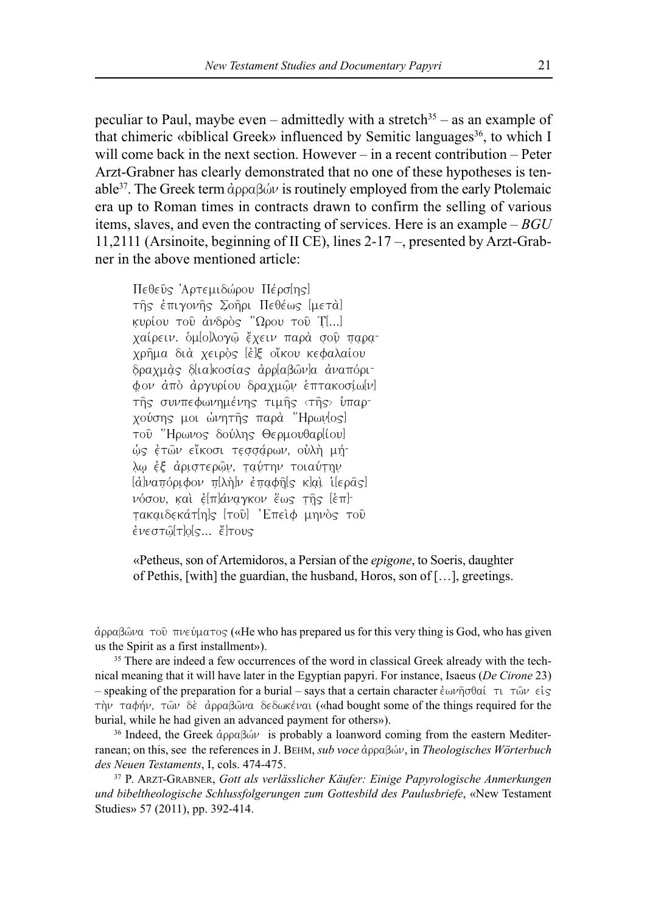peculiar to Paul, maybe even – admittedly with a stretch<sup>35</sup> – as an example of that chimeric «biblical Greek» influenced by Semitic languages<sup>36</sup>, to which I will come back in the next section. However – in a recent contribution – Peter Arzt-Grabner has clearly demonstrated that no one of these hypotheses is tenable<sup>37</sup>. The Greek term  $\hat{\alpha}$ ppa $\beta$ ώ $\nu$  is routinely employed from the early Ptolemaic era up to Roman times in contracts drawn to confirm the selling of various items, slaves, and even the contracting of services. Here is an example – *BGU* 11,2111 (Arsinoite, beginning of II CE), lines 2-17 –, presented by Arzt-Grabner in the above mentioned article:

Πεθεῦς Άρτεμιδώρου Πέρσ[ης] της έπιγονης Σοηρι Πεθέως [μετα] κυρίου του άνδρὸς "Ωρου του Τ[...] χαίρειν. oμ[o]λογω̂ έχειν παρα σου παραχρήμα διὰ χειρὸς [ἐ]ξ οἴκου κεφαλαίου  $\delta$ ραχμάς δ[ια]κοσίας άρρ[αβῶν]α αναπόριφον από αργυρίου δραχμών επτακοσίω[ν] τής συνπεφωνημένης τιμής <τής> ύπαρχούσης μοι ώνητής παρά "Ηρων<sup>[</sup>os] του "Ηρωνος δούλης Θερμουθαρ[ίου] ώς έτῶν εἴκοσι τεσσάρων, οὐλὴ μήλω έξ αριστερών, ταύτην τοιαύτην  $\alpha$ <sub>j</sub>ajvaropovov  $\pi$  $\lambda$ n $\nu$  e $\pi$ a $\phi$ n $\alpha$  $\alpha$  ka $\alpha$  i $\alpha$ νόσου, καὶ ἐ[π]άναγκον ἕως τῆς [ἐπ]τακαιδεκάτ[η]ς [τοῦ] 'Επειφ μηνός τοῦ  $\epsilon$ νεστῶ[τ]ο[ς...  $\epsilon$ ]τους

«Petheus, son of Artemidoros, a Persian of the *epigone*, to Soeris, daughter of Pethis, [with] the guardian, the husband, Horos, son of […], greetings.

 $\alpha$  dopa $\beta$ ώνα του πνεύματος («He who has prepared us for this very thing is God, who has given us the Spirit as a first installment»).

<sup>35</sup> There are indeed a few occurrences of the word in classical Greek already with the technical meaning that it will have later in the Egyptian papyri. For instance, Isaeus (*De Cirone* 23) – speaking of the preparation for a burial – says that a certain character  $\epsilon \omega \nu \eta \sigma \theta a \ell \tau \nu \tau \omega \nu \epsilon \ell s$ τήν ταφήν, τῶν δὲ ἀρραβῶνα δεδωκέναι («had bought some of the things required for the burial, while he had given an advanced payment for others»).

<sup>36</sup> Indeed, the Greek  $\dot{\alpha}$ ρραβών is probably a loanword coming from the eastern Mediterranean; on this, see the references in J. BEHM, *sub voce* άρραβών, in *Theologisches Wörterbuch des Neuen Testaments*, I, cols. 474-475.

<sup>37</sup> P. ARZT-GRABNER, *Gott als verlässlicher Käufer: Einige Papyrologische Anmerkungen und bibeltheologische Schlussfolgerungen zum Gottesbild des Paulusbriefe*, «New Testament Studies» 57 (2011), pp. 392-414.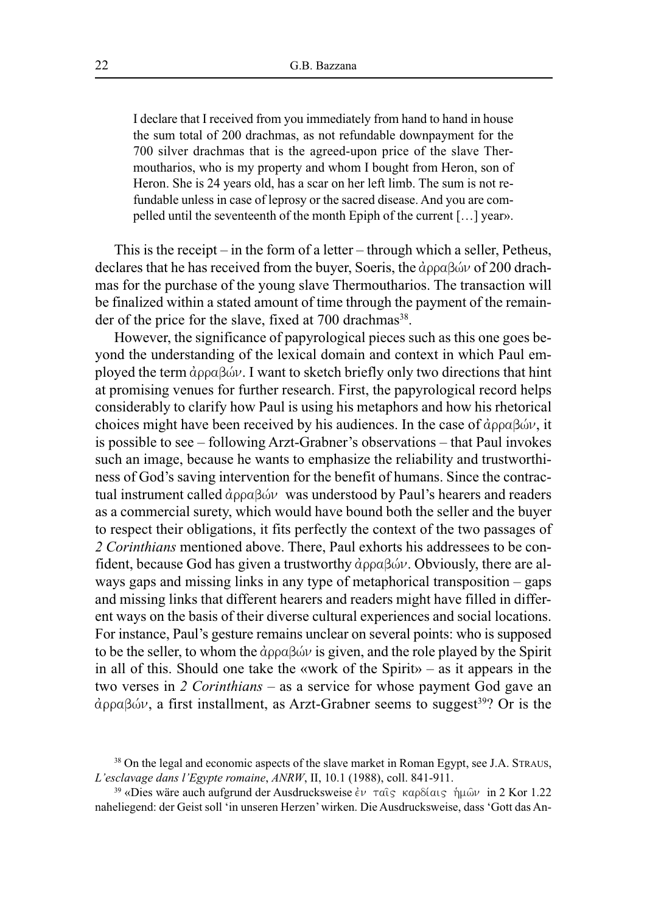I declare that I received from you immediately from hand to hand in house the sum total of 200 drachmas, as not refundable downpayment for the 700 silver drachmas that is the agreed-upon price of the slave Thermoutharios, who is my property and whom I bought from Heron, son of Heron. She is 24 years old, has a scar on her left limb. The sum is not refundable unless in case of leprosy or the sacred disease. And you are compelled until the seventeenth of the month Epiph of the current […] year».

This is the receipt – in the form of a letter – through which a seller, Petheus, declares that he has received from the buyer, Soeris, the  $\hat{\alpha}$ ρραβών of 200 drachmas for the purchase of the young slave Thermoutharios. The transaction will be finalized within a stated amount of time through the payment of the remainder of the price for the slave, fixed at 700 drachmas<sup>38</sup>.

However, the significance of papyrological pieces such as this one goes beyond the understanding of the lexical domain and context in which Paul employed the term  $\dot{\alpha}$  $\rho \alpha \beta \dot{\omega} \nu$ . I want to sketch briefly only two directions that hint at promising venues for further research. First, the papyrological record helps considerably to clarify how Paul is using his metaphors and how his rhetorical choices might have been received by his audiences. In the case of  $\dot{\alpha}$  $\rho \rho \alpha \beta \dot{\omega} \nu$ , it is possible to see – following Arzt-Grabner's observations – that Paul invokes such an image, because he wants to emphasize the reliability and trustworthiness of God's saving intervention for the benefit of humans. Since the contractual instrument called  $\dot{\alpha}$ ρραβών was understood by Paul's hearers and readers as a commercial surety, which would have bound both the seller and the buyer to respect their obligations, it fits perfectly the context of the two passages of *2 Corinthians* mentioned above. There, Paul exhorts his addressees to be confident, because God has given a trustworthy  $d\rho\rho a\beta d\nu$ . Obviously, there are always gaps and missing links in any type of metaphorical transposition – gaps and missing links that different hearers and readers might have filled in different ways on the basis of their diverse cultural experiences and social locations. For instance, Paul's gesture remains unclear on several points: who is supposed to be the seller, to whom the  $\hat{\alpha}$  $\rho \alpha \beta \hat{\omega} \nu$  is given, and the role played by the Spirit in all of this. Should one take the «work of the Spirit» – as it appears in the two verses in *2 Corinthians* – as a service for whose payment God gave an άρραβών, a first installment, as Arzt-Grabner seems to suggest<sup>39</sup>? Or is the

<sup>&</sup>lt;sup>38</sup> On the legal and economic aspects of the slave market in Roman Egypt, see J.A. STRAUS, *L'esclavage dans l'Egypte romaine*, *ANRW*, II, 10.1 (1988), coll. 841-911.

<sup>&</sup>lt;sup>39</sup> «Dies wäre auch aufgrund der Ausdrucksweise έν ταις καρδίαις ήμων in 2 Kor 1.22 naheliegend: der Geist soll 'in unseren Herzen'wirken. Die Ausdrucksweise, dass 'Gott das An-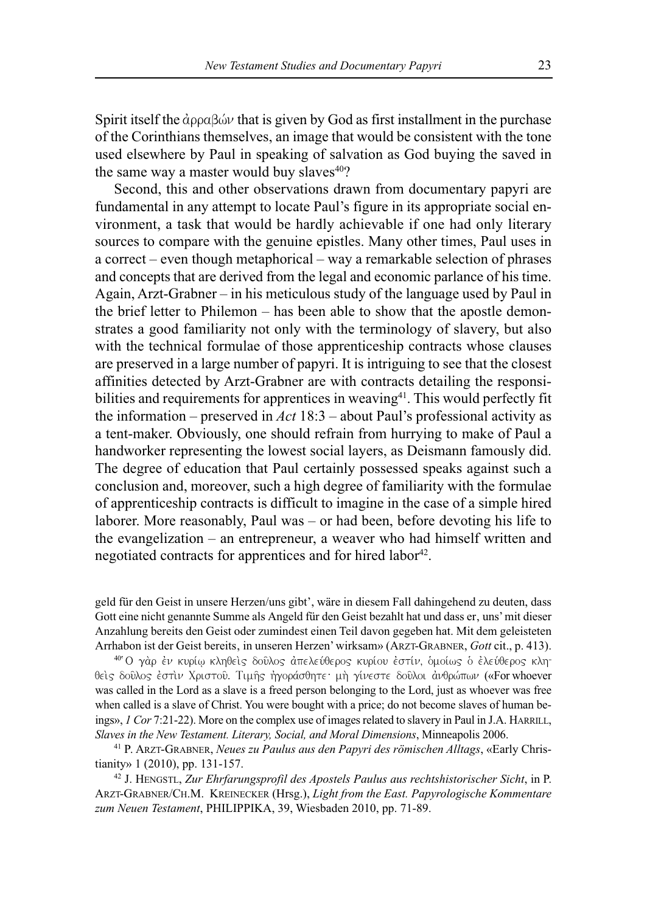Spirit itself the  $\hat{\alpha}$ <sub>pp</sub> $\alpha\beta\hat{\omega}\nu$  that is given by God as first installment in the purchase of the Corinthians themselves, an image that would be consistent with the tone used elsewhere by Paul in speaking of salvation as God buying the saved in the same way a master would buy slaves<sup>40</sup>?

Second, this and other observations drawn from documentary papyri are fundamental in any attempt to locate Paul's figure in its appropriate social environment, a task that would be hardly achievable if one had only literary sources to compare with the genuine epistles. Many other times, Paul uses in a correct – even though metaphorical – way a remarkable selection of phrases and concepts that are derived from the legal and economic parlance of his time. Again, Arzt-Grabner – in his meticulous study of the language used by Paul in the brief letter to Philemon – has been able to show that the apostle demonstrates a good familiarity not only with the terminology of slavery, but also with the technical formulae of those apprenticeship contracts whose clauses are preserved in a large number of papyri. It is intriguing to see that the closest affinities detected by Arzt-Grabner are with contracts detailing the responsibilities and requirements for apprentices in weaving $^{41}$ . This would perfectly fit the information – preserved in *Act* 18:3 – about Paul's professional activity as a tent-maker. Obviously, one should refrain from hurrying to make of Paul a handworker representing the lowest social layers, as Deismann famously did. The degree of education that Paul certainly possessed speaks against such a conclusion and, moreover, such a high degree of familiarity with the formulae of apprenticeship contracts is difficult to imagine in the case of a simple hired laborer. More reasonably, Paul was – or had been, before devoting his life to the evangelization – an entrepreneur, a weaver who had himself written and negotiated contracts for apprentices and for hired labor<sup>42</sup>.

geld für den Geist in unsere Herzen/uns gibt', wäre in diesem Fall dahingehend zu deuten, dass Gott eine nicht genannte Summe als Angeld für den Geist bezahlt hat und dass er, uns' mit dieser Anzahlung bereits den Geist oder zumindest einen Teil davon gegeben hat. Mit dem geleisteten Arrhabon ist der Geist bereits' in unseren Herzen'wirksam» (ARZT-GRABNER, *Gott* cit., p. 413).

<sup>40</sup> Ο γάρ έν κυρίω κληθείς δούλος άπελεύθερος κυρίου έστίν, ομοίως ο έλεύθερος κληθείς δούλος έστιν Χριστού. Τιμής ήγοράσθητε: μή γίνεστε δούλοι άνθρώπων («For whoever was called in the Lord as a slave is a freed person belonging to the Lord, just as whoever was free when called is a slave of Christ. You were bought with a price; do not become slaves of human beings», *1 Cor* 7:21-22). More on the complex use of images related to slavery in Paul in J.A. HARRILL, *Slaves in the New Testament. Literary, Social, and Moral Dimensions*, Minneapolis 2006.

<sup>41</sup> P. ARZT-GRABNER, *Neues zu Paulus aus den Papyri des römischen Alltags*, «Early Christianity» 1 (2010), pp. 131-157.

<sup>42</sup> J. HENGSTL, *Zur Ehrfarungsprofil des Apostels Paulus aus rechtshistorischer Sicht*, in P. ARZT-GRABNER/CH.M. KREINECKER (Hrsg.), *Light from the East. Papyrologische Kommentare zum Neuen Testament*, PHILIPPIKA, 39, Wiesbaden 2010, pp. 71-89.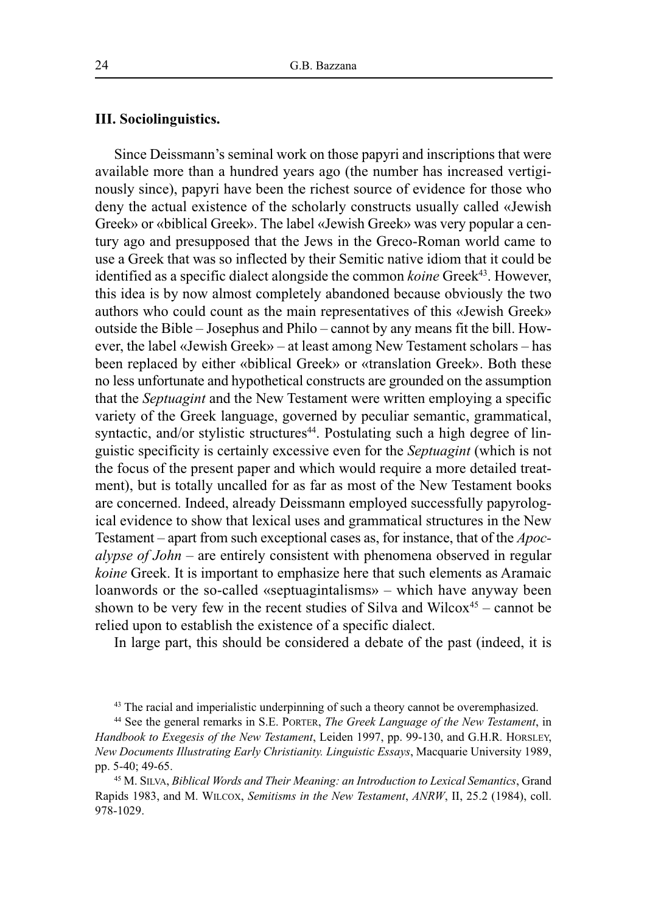## **III. Sociolinguistics.**

Since Deissmann's seminal work on those papyri and inscriptions that were available more than a hundred years ago (the number has increased vertiginously since), papyri have been the richest source of evidence for those who deny the actual existence of the scholarly constructs usually called «Jewish Greek» or «biblical Greek». The label «Jewish Greek» was very popular a century ago and presupposed that the Jews in the Greco-Roman world came to use a Greek that was so inflected by their Semitic native idiom that it could be identified as a specific dialect alongside the common *koine* Greek<sup>43</sup>. However, this idea is by now almost completely abandoned because obviously the two authors who could count as the main representatives of this «Jewish Greek» outside the Bible – Josephus and Philo – cannot by any means fit the bill. However, the label «Jewish Greek» – at least among New Testament scholars – has been replaced by either «biblical Greek» or «translation Greek». Both these no less unfortunate and hypothetical constructs are grounded on the assumption that the *Septuagint* and the New Testament were written employing a specific variety of the Greek language, governed by peculiar semantic, grammatical, syntactic, and/or stylistic structures<sup>44</sup>. Postulating such a high degree of linguistic specificity is certainly excessive even for the *Septuagint* (which is not the focus of the present paper and which would require a more detailed treatment), but is totally uncalled for as far as most of the New Testament books are concerned. Indeed, already Deissmann employed successfully papyrological evidence to show that lexical uses and grammatical structures in the New Testament – apart from such exceptional cases as, for instance, that of the *Apocalypse of John* – are entirely consistent with phenomena observed in regular *koine* Greek. It is important to emphasize here that such elements as Aramaic loanwords or the so-called «septuagintalisms» – which have anyway been shown to be very few in the recent studies of Silva and Wilcox<sup>45</sup> – cannot be relied upon to establish the existence of a specific dialect.

In large part, this should be considered a debate of the past (indeed, it is

<sup>45</sup> M. SILVA, *Biblical Words and Their Meaning: an Introduction to Lexical Semantics*, Grand Rapids 1983, and M. WILCOX, *Semitisms in the New Testament*, *ANRW*, II, 25.2 (1984), coll. 978-1029.

<sup>&</sup>lt;sup>43</sup> The racial and imperialistic underpinning of such a theory cannot be overemphasized.

<sup>44</sup> See the general remarks in S.E. PORTER, *The Greek Language of the New Testament*, in *Handbook to Exegesis of the New Testament*, Leiden 1997, pp. 99-130, and G.H.R. HORSLEY, *New Documents Illustrating Early Christianity. Linguistic Essays*, Macquarie University 1989, pp. 5-40; 49-65.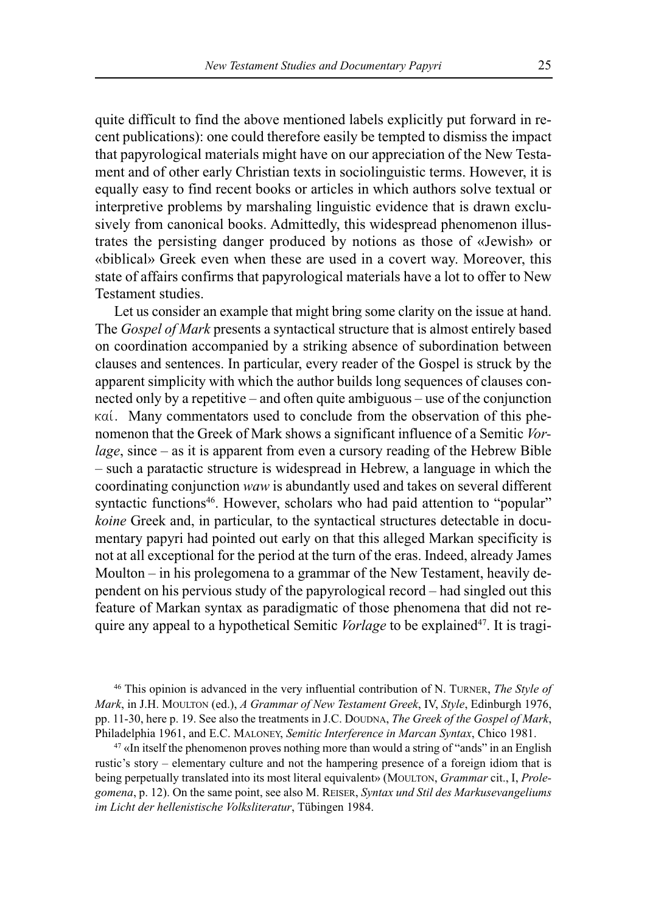quite difficult to find the above mentioned labels explicitly put forward in recent publications): one could therefore easily be tempted to dismiss the impact that papyrological materials might have on our appreciation of the New Testament and of other early Christian texts in sociolinguistic terms. However, it is equally easy to find recent books or articles in which authors solve textual or interpretive problems by marshaling linguistic evidence that is drawn exclusively from canonical books. Admittedly, this widespread phenomenon illustrates the persisting danger produced by notions as those of «Jewish» or «biblical» Greek even when these are used in a covert way. Moreover, this state of affairs confirms that papyrological materials have a lot to offer to New Testament studies.

Let us consider an example that might bring some clarity on the issue at hand. The *Gospel of Mark* presents a syntactical structure that is almost entirely based on coordination accompanied by a striking absence of subordination between clauses and sentences. In particular, every reader of the Gospel is struck by the apparent simplicity with which the author builds long sequences of clauses connected only by a repetitive – and often quite ambiguous – use of the conjunction καί. Many commentators used to conclude from the observation of this phenomenon that the Greek of Mark shows a significant influence of a Semitic *Vorlage*, since – as it is apparent from even a cursory reading of the Hebrew Bible – such a paratactic structure is widespread in Hebrew, a language in which the coordinating conjunction *waw* is abundantly used and takes on several different syntactic functions<sup>46</sup>. However, scholars who had paid attention to "popular" *koine* Greek and, in particular, to the syntactical structures detectable in documentary papyri had pointed out early on that this alleged Markan specificity is not at all exceptional for the period at the turn of the eras. Indeed, already James Moulton – in his prolegomena to a grammar of the New Testament, heavily dependent on his pervious study of the papyrological record – had singled out this feature of Markan syntax as paradigmatic of those phenomena that did not require any appeal to a hypothetical Semitic *Vorlage* to be explained<sup>47</sup>. It is tragi-

<sup>46</sup> This opinion is advanced in the very influential contribution of N. TURNER, *The Style of Mark*, in J.H. MOULTON (ed.), *A Grammar of New Testament Greek*, IV, *Style*, Edinburgh 1976, pp. 11-30, here p. 19. See also the treatments in J.C. DOUDNA, *The Greek of the Gospel of Mark*, Philadelphia 1961, and E.C. MALONEY, *Semitic Interference in Marcan Syntax*, Chico 1981.

 $47$  «In itself the phenomenon proves nothing more than would a string of "ands" in an English rustic's story – elementary culture and not the hampering presence of a foreign idiom that is being perpetually translated into its most literal equivalent» (MOULTON, *Grammar* cit., I, *Prolegomena*, p. 12). On the same point, see also M. REISER, *Syntax und Stil des Markusevangeliums im Licht der hellenistische Volksliteratur*, Tübingen 1984.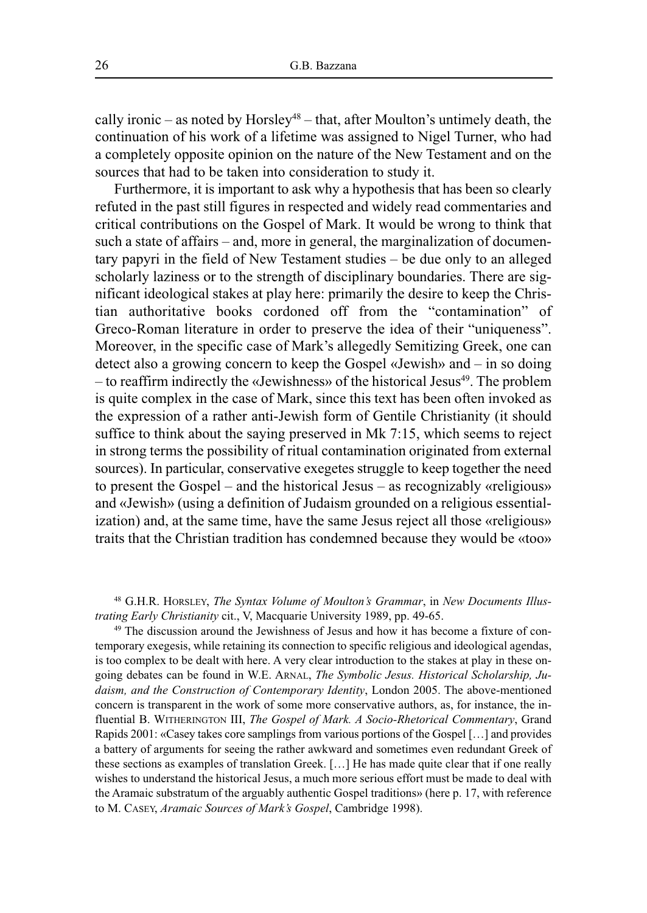cally ironic – as noted by Horsley<sup>48</sup> – that, after Moulton's untimely death, the continuation of his work of a lifetime was assigned to Nigel Turner, who had a completely opposite opinion on the nature of the New Testament and on the sources that had to be taken into consideration to study it.

Furthermore, it is important to ask why a hypothesis that has been so clearly refuted in the past still figures in respected and widely read commentaries and critical contributions on the Gospel of Mark. It would be wrong to think that such a state of affairs – and, more in general, the marginalization of documentary papyri in the field of New Testament studies – be due only to an alleged scholarly laziness or to the strength of disciplinary boundaries. There are significant ideological stakes at play here: primarily the desire to keep the Christian authoritative books cordoned off from the "contamination" of Greco-Roman literature in order to preserve the idea of their "uniqueness". Moreover, in the specific case of Mark's allegedly Semitizing Greek, one can detect also a growing concern to keep the Gospel «Jewish» and – in so doing – to reaffirm indirectly the «Jewishness» of the historical Jesus $^{49}$ . The problem is quite complex in the case of Mark, since this text has been often invoked as the expression of a rather anti-Jewish form of Gentile Christianity (it should suffice to think about the saying preserved in Mk 7:15, which seems to reject in strong terms the possibility of ritual contamination originated from external sources). In particular, conservative exegetes struggle to keep together the need to present the Gospel – and the historical Jesus – as recognizably «religious» and «Jewish» (using a definition of Judaism grounded on a religious essentialization) and, at the same time, have the same Jesus reject all those «religious» traits that the Christian tradition has condemned because they would be «too»

<sup>48</sup> G.H.R. HORSLEY, *The Syntax Volume of Moulton's Grammar*, in *New Documents Illustrating Early Christianity* cit., V, Macquarie University 1989, pp. 49-65.

<sup>49</sup> The discussion around the Jewishness of Jesus and how it has become a fixture of contemporary exegesis, while retaining its connection to specific religious and ideological agendas, is too complex to be dealt with here. A very clear introduction to the stakes at play in these ongoing debates can be found in W.E. ARNAL, *The Symbolic Jesus. Historical Scholarship, Judaism, and the Construction of Contemporary Identity*, London 2005. The above-mentioned concern is transparent in the work of some more conservative authors, as, for instance, the influential B. WITHERINGTON III, *The Gospel of Mark. A Socio-Rhetorical Commentary*, Grand Rapids 2001: «Casey takes core samplings from various portions of the Gospel […] and provides a battery of arguments for seeing the rather awkward and sometimes even redundant Greek of these sections as examples of translation Greek. […] He has made quite clear that if one really wishes to understand the historical Jesus, a much more serious effort must be made to deal with the Aramaic substratum of the arguably authentic Gospel traditions» (here p. 17, with reference to M. CASEY, *Aramaic Sources of Mark's Gospel*, Cambridge 1998).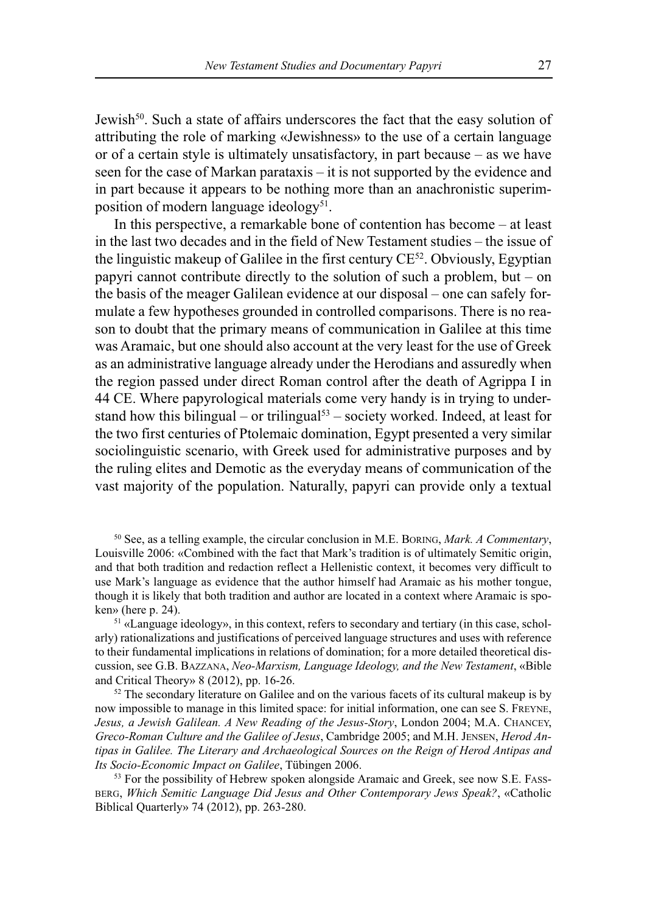Jewish<sup>50</sup>. Such a state of affairs underscores the fact that the easy solution of attributing the role of marking «Jewishness» to the use of a certain language or of a certain style is ultimately unsatisfactory, in part because – as we have seen for the case of Markan parataxis – it is not supported by the evidence and in part because it appears to be nothing more than an anachronistic superimposition of modern language ideology<sup>51</sup>.

In this perspective, a remarkable bone of contention has become – at least in the last two decades and in the field of New Testament studies – the issue of the linguistic makeup of Galilee in the first century CE<sup>52</sup>. Obviously, Egyptian papyri cannot contribute directly to the solution of such a problem, but – on the basis of the meager Galilean evidence at our disposal – one can safely formulate a few hypotheses grounded in controlled comparisons. There is no reason to doubt that the primary means of communication in Galilee at this time was Aramaic, but one should also account at the very least for the use of Greek as an administrative language already under the Herodians and assuredly when the region passed under direct Roman control after the death of Agrippa I in 44 CE. Where papyrological materials come very handy is in trying to understand how this bilingual – or trilingual <sup>53</sup> – society worked. Indeed, at least for the two first centuries of Ptolemaic domination, Egypt presented a very similar sociolinguistic scenario, with Greek used for administrative purposes and by the ruling elites and Demotic as the everyday means of communication of the vast majority of the population. Naturally, papyri can provide only a textual

<sup>50</sup> See, as a telling example, the circular conclusion in M.E. BORING, *Mark. A Commentary*, Louisville 2006: «Combined with the fact that Mark's tradition is of ultimately Semitic origin, and that both tradition and redaction reflect a Hellenistic context, it becomes very difficult to use Mark's language as evidence that the author himself had Aramaic as his mother tongue, though it is likely that both tradition and author are located in a context where Aramaic is spoken» (here p. 24).

<sup>51</sup> «Language ideology», in this context, refers to secondary and tertiary (in this case, scholarly) rationalizations and justifications of perceived language structures and uses with reference to their fundamental implications in relations of domination; for a more detailed theoretical discussion, see G.B. BAZZANA, *Neo-Marxism, Language Ideology, and the New Testament*, «Bible and Critical Theory» 8 (2012), pp. 16-26.

 $52$  The secondary literature on Galilee and on the various facets of its cultural makeup is by now impossible to manage in this limited space: for initial information, one can see S. FREYNE, *Jesus, a Jewish Galilean. A New Reading of the Jesus-Story*, London 2004; M.A. CHANCEY, *Greco-Roman Culture and the Galilee of Jesus*, Cambridge 2005; and M.H. JENSEN, *Herod Antipas in Galilee. The Literary and Archaeological Sources on the Reign of Herod Antipas and Its Socio-Economic Impact on Galilee*, Tübingen 2006.

<sup>53</sup> For the possibility of Hebrew spoken alongside Aramaic and Greek, see now S.E. FASS-BERG, *Which Semitic Language Did Jesus and Other Contemporary Jews Speak?*, «Catholic Biblical Quarterly» 74 (2012), pp. 263-280.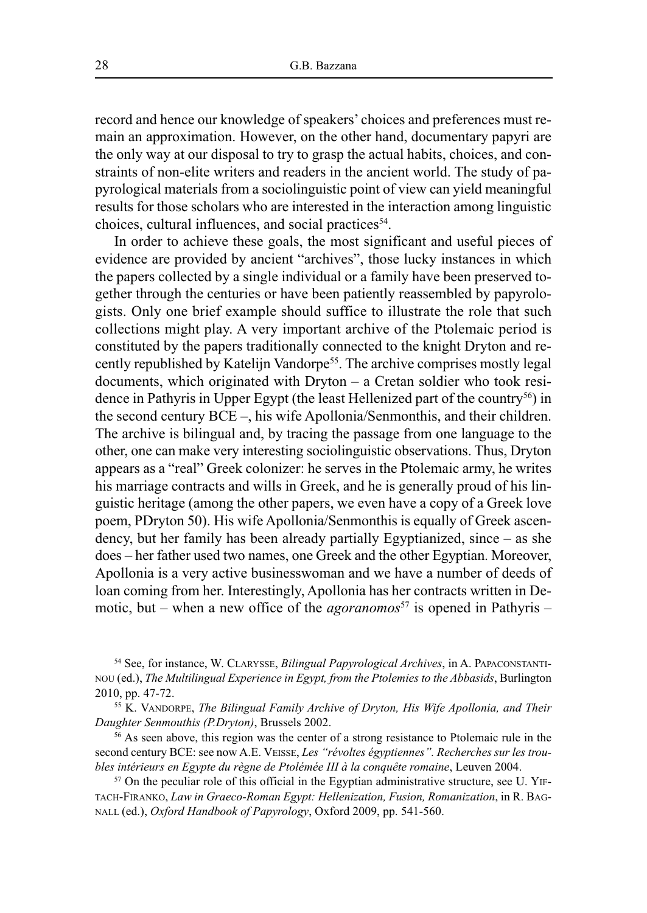record and hence our knowledge of speakers' choices and preferences must remain an approximation. However, on the other hand, documentary papyri are the only way at our disposal to try to grasp the actual habits, choices, and constraints of non-elite writers and readers in the ancient world. The study of papyrological materials from a sociolinguistic point of view can yield meaningful results for those scholars who are interested in the interaction among linguistic choices, cultural influences, and social practices<sup>54</sup>.

In order to achieve these goals, the most significant and useful pieces of evidence are provided by ancient "archives", those lucky instances in which the papers collected by a single individual or a family have been preserved together through the centuries or have been patiently reassembled by papyrologists. Only one brief example should suffice to illustrate the role that such collections might play. A very important archive of the Ptolemaic period is constituted by the papers traditionally connected to the knight Dryton and recently republished by Katelijn Vandorpe<sup>55</sup>. The archive comprises mostly legal documents, which originated with Dryton – a Cretan soldier who took residence in Pathyris in Upper Egypt (the least Hellenized part of the country<sup>56</sup>) in the second century BCE –, his wife Apollonia/Senmonthis, and their children. The archive is bilingual and, by tracing the passage from one language to the other, one can make very interesting sociolinguistic observations. Thus, Dryton appears as a "real" Greek colonizer: he serves in the Ptolemaic army, he writes his marriage contracts and wills in Greek, and he is generally proud of his linguistic heritage (among the other papers, we even have a copy of a Greek love poem, PDryton 50). His wife Apollonia/Senmonthis is equally of Greek ascendency, but her family has been already partially Egyptianized, since – as she does – her father used two names, one Greek and the other Egyptian. Moreover, Apollonia is a very active businesswoman and we have a number of deeds of loan coming from her. Interestingly, Apollonia has her contracts written in Demotic, but – when a new office of the *agoranomos*<sup>57</sup> is opened in Pathyris –

<sup>54</sup> See, for instance, W. CLARYSSE, *Bilingual Papyrological Archives*, in A. PAPACONSTANTI-NOU (ed.), *The Multilingual Experience in Egypt, from the Ptolemies to the Abbasids*, Burlington 2010, pp. 47-72.

<sup>55</sup> K. VANDORPE, *The Bilingual Family Archive of Dryton, His Wife Apollonia, and Their Daughter Senmouthis (P.Dryton)*, Brussels 2002.

<sup>56</sup> As seen above, this region was the center of a strong resistance to Ptolemaic rule in the second century BCE: see now A.E. VEISSE, *Les "révoltes égyptiennes". Recherches sur les troubles intérieurs en Egypte du règne de Ptolémée III à la conquête romaine*, Leuven 2004.

<sup>57</sup> On the peculiar role of this official in the Egyptian administrative structure, see U. YIF-TACH-FIRANKO, *Law in Graeco-Roman Egypt: Hellenization, Fusion, Romanization*, in R. BAG-NALL (ed.), *Oxford Handbook of Papyrology*, Oxford 2009, pp. 541-560.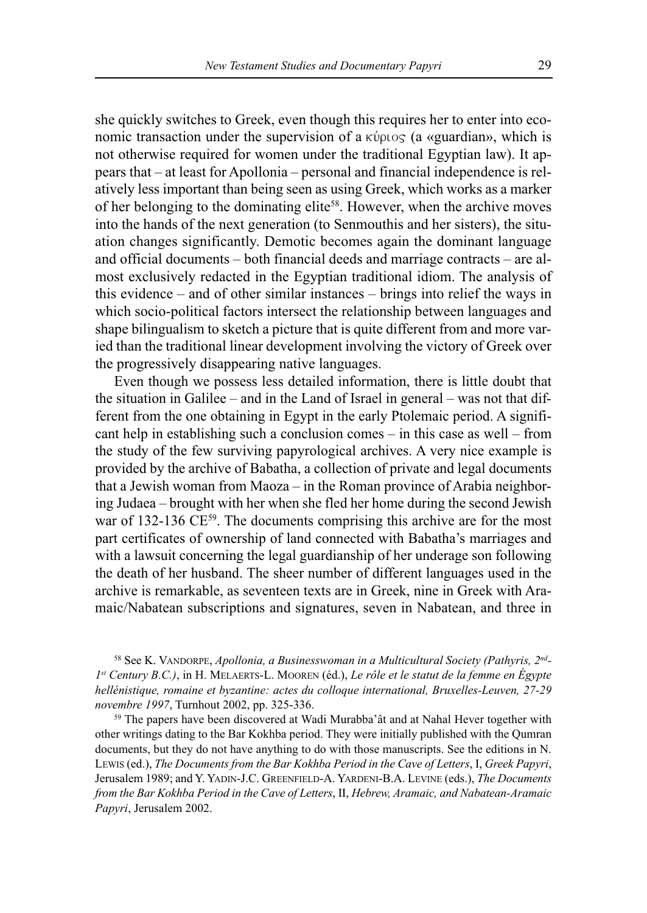she quickly switches to Greek, even though this requires her to enter into economic transaction under the supervision of a  $\kappa \psi \rho \psi$  (a «guardian», which is not otherwise required for women under the traditional Egyptian law). It appears that – at least for Apollonia – personal and financial independence is relatively less important than being seen as using Greek, which works as a marker of her belonging to the dominating elite<sup>58</sup>. However, when the archive moves into the hands of the next generation (to Senmouthis and her sisters), the situation changes significantly. Demotic becomes again the dominant language and official documents – both financial deeds and marriage contracts – are almost exclusively redacted in the Egyptian traditional idiom. The analysis of this evidence – and of other similar instances – brings into relief the ways in which socio-political factors intersect the relationship between languages and shape bilingualism to sketch a picture that is quite different from and more varied than the traditional linear development involving the victory of Greek over the progressively disappearing native languages.

Even though we possess less detailed information, there is little doubt that the situation in Galilee – and in the Land of Israel in general – was not that different from the one obtaining in Egypt in the early Ptolemaic period. A significant help in establishing such a conclusion comes – in this case as well – from the study of the few surviving papyrological archives. A very nice example is provided by the archive of Babatha, a collection of private and legal documents that a Jewish woman from Maoza – in the Roman province of Arabia neighboring Judaea – brought with her when she fled her home during the second Jewish war of 132-136 CE<sup>59</sup>. The documents comprising this archive are for the most part certificates of ownership of land connected with Babatha's marriages and with a lawsuit concerning the legal guardianship of her underage son following the death of her husband. The sheer number of different languages used in the archive is remarkable, as seventeen texts are in Greek, nine in Greek with Aramaic/Nabatean subscriptions and signatures, seven in Nabatean, and three in

<sup>58</sup> See K. VANDORPE, *Apollonia, a Businesswoman in a Multicultural Society (Pathyris, 2nd - 1st Century B.C.)*, in H. MELAERTS-L. MOOREN (éd.), *Le rôle et le statut de la femme en Égypte hellénistique, romaine et byzantine: actes du colloque international, Bruxelles-Leuven, 27-29 novembre 1997*, Turnhout 2002, pp. 325-336.

<sup>59</sup> The papers have been discovered at Wadi Murabba'ât and at Nahal Hever together with other writings dating to the Bar Kokhba period. They were initially published with the Qumran documents, but they do not have anything to do with those manuscripts. See the editions in N. LEWIS (ed.), *The Documents from the Bar Kokhba Period in the Cave of Letters*, I, *Greek Papyri*, Jerusalem 1989; and Y. YADIN-J.C. GREENFIELD-A. YARDENI-B.A. LEVINE (eds.), *The Documents from the Bar Kokhba Period in the Cave of Letters*, II, *Hebrew, Aramaic, and Nabatean-Aramaic Papyri*, Jerusalem 2002.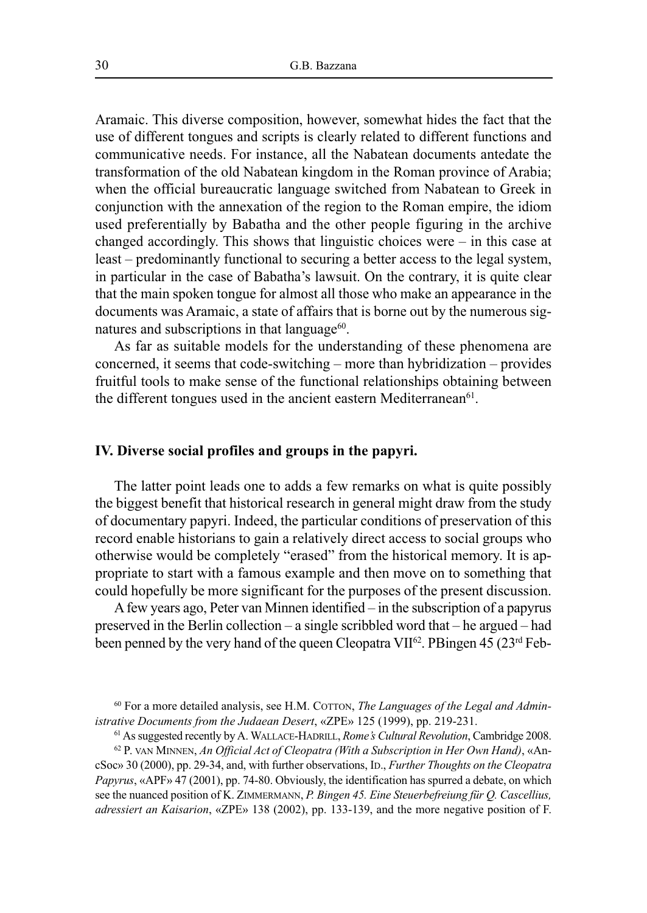Aramaic. This diverse composition, however, somewhat hides the fact that the use of different tongues and scripts is clearly related to different functions and communicative needs. For instance, all the Nabatean documents antedate the transformation of the old Nabatean kingdom in the Roman province of Arabia; when the official bureaucratic language switched from Nabatean to Greek in conjunction with the annexation of the region to the Roman empire, the idiom used preferentially by Babatha and the other people figuring in the archive changed accordingly. This shows that linguistic choices were – in this case at least – predominantly functional to securing a better access to the legal system, in particular in the case of Babatha's lawsuit. On the contrary, it is quite clear that the main spoken tongue for almost all those who make an appearance in the documents was Aramaic, a state of affairs that is borne out by the numerous signatures and subscriptions in that language<sup>60</sup>.

As far as suitable models for the understanding of these phenomena are concerned, it seems that code-switching – more than hybridization – provides fruitful tools to make sense of the functional relationships obtaining between the different tongues used in the ancient eastern Mediterranean $61$ .

#### **IV. Diverse social profiles and groups in the papyri.**

The latter point leads one to adds a few remarks on what is quite possibly the biggest benefit that historical research in general might draw from the study of documentary papyri. Indeed, the particular conditions of preservation of this record enable historians to gain a relatively direct access to social groups who otherwise would be completely "erased" from the historical memory. It is appropriate to start with a famous example and then move on to something that could hopefully be more significant for the purposes of the present discussion.

Afew years ago, Peter van Minnen identified – in the subscription of a papyrus preserved in the Berlin collection – a single scribbled word that – he argued – had been penned by the very hand of the queen Cleopatra VII<sup>62</sup>. PBingen 45 (23<sup>rd</sup> Feb-

<sup>62</sup> P. VAN MINNEN, *An Official Act of Cleopatra (With a Subscription in Her Own Hand)*, «AncSoc» 30 (2000), pp. 29-34, and, with further observations, ID., *Further Thoughts on the Cleopatra Papyrus*, «APF» 47 (2001), pp. 74-80. Obviously, the identification has spurred a debate, on which see the nuanced position of K. ZIMMERMANN, *P. Bingen 45. Eine Steuerbefreiung für Q. Cascellius, adressiert an Kaisarion*, «ZPE» 138 (2002), pp. 133-139, and the more negative position of F.

<sup>60</sup> For a more detailed analysis, see H.M. COTTON, *The Languages of the Legal and Administrative Documents from the Judaean Desert*, «ZPE» 125 (1999), pp. 219-231.

<sup>61</sup> Assuggested recently by A. WALLACE-HADRILL, *Rome's Cultural Revolution*, Cambridge 2008.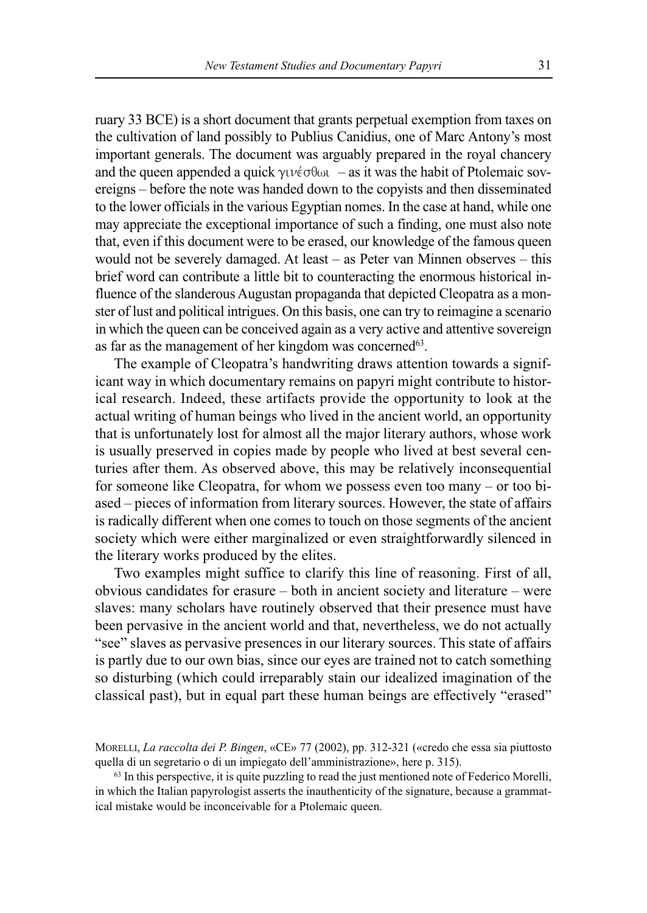ruary 33 BCE) is a short document that grants perpetual exemption from taxes on the cultivation of land possibly to Publius Canidius, one of Marc Antony's most important generals. The document was arguably prepared in the royal chancery and the queen appended a quick  $\gamma \nu \acute{\epsilon} \sigma \theta \omega \nu$  – as it was the habit of Ptolemaic sovereigns – before the note was handed down to the copyists and then disseminated to the lower officials in the various Egyptian nomes. In the case at hand, while one may appreciate the exceptional importance of such a finding, one must also note that, even if this document were to be erased, our knowledge of the famous queen would not be severely damaged. At least – as Peter van Minnen observes – this brief word can contribute a little bit to counteracting the enormous historical influence of the slanderous Augustan propaganda that depicted Cleopatra as a monster of lust and political intrigues. On this basis, one can try to reimagine a scenario in which the queen can be conceived again as a very active and attentive sovereign as far as the management of her kingdom was concerned<sup>63</sup>.

The example of Cleopatra's handwriting draws attention towards a significant way in which documentary remains on papyri might contribute to historical research. Indeed, these artifacts provide the opportunity to look at the actual writing of human beings who lived in the ancient world, an opportunity that is unfortunately lost for almost all the major literary authors, whose work is usually preserved in copies made by people who lived at best several centuries after them. As observed above, this may be relatively inconsequential for someone like Cleopatra, for whom we possess even too many – or too biased – pieces of information from literary sources. However, the state of affairs is radically different when one comes to touch on those segments of the ancient society which were either marginalized or even straightforwardly silenced in the literary works produced by the elites.

Two examples might suffice to clarify this line of reasoning. First of all, obvious candidates for erasure – both in ancient society and literature – were slaves: many scholars have routinely observed that their presence must have been pervasive in the ancient world and that, nevertheless, we do not actually "see" slaves as pervasive presences in our literary sources. This state of affairs is partly due to our own bias, since our eyes are trained not to catch something so disturbing (which could irreparably stain our idealized imagination of the classical past), but in equal part these human beings are effectively "erased"

MORELLI, *La raccolta dei P. Bingen*, «CE» 77 (2002), pp. 312-321 («credo che essa sia piuttosto quella di un segretario o di un impiegato dell'amministrazione», here p. 315).

<sup>63</sup> In this perspective, it is quite puzzling to read the just mentioned note of Federico Morelli, in which the Italian papyrologist asserts the inauthenticity of the signature, because a grammatical mistake would be inconceivable for a Ptolemaic queen.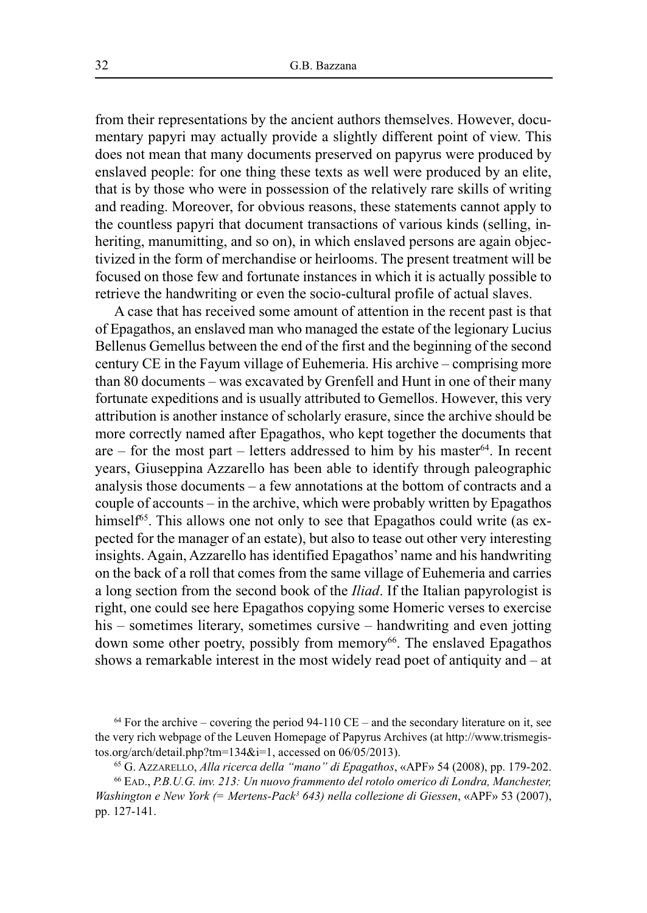from their representations by the ancient authors themselves. However, documentary papyri may actually provide a slightly different point of view. This does not mean that many documents preserved on papyrus were produced by enslaved people: for one thing these texts as well were produced by an elite, that is by those who were in possession of the relatively rare skills of writing and reading. Moreover, for obvious reasons, these statements cannot apply to the countless papyri that document transactions of various kinds (selling, inheriting, manumitting, and so on), in which enslaved persons are again objectivized in the form of merchandise or heirlooms. The present treatment will be focused on those few and fortunate instances in which it is actually possible to retrieve the handwriting or even the socio-cultural profile of actual slaves.

A case that has received some amount of attention in the recent past is that of Epagathos, an enslaved man who managed the estate of the legionary Lucius Bellenus Gemellus between the end of the first and the beginning of the second century CE in the Fayum village of Euhemeria. His archive – comprising more than 80 documents – was excavated by Grenfell and Hunt in one of their many fortunate expeditions and is usually attributed to Gemellos. However, this very attribution is another instance of scholarly erasure, since the archive should be more correctly named after Epagathos, who kept together the documents that are  $-$  for the most part  $-$  letters addressed to him by his master<sup>64</sup>. In recent years, Giuseppina Azzarello has been able to identify through paleographic analysis those documents – a few annotations at the bottom of contracts and a couple of accounts – in the archive, which were probably written by Epagathos himself<sup>65</sup>. This allows one not only to see that Epagathos could write (as expected for the manager of an estate), but also to tease out other very interesting insights. Again, Azzarello has identified Epagathos' name and his handwriting on the back of a roll that comes from the same village of Euhemeria and carries a long section from the second book of the *Iliad*. If the Italian papyrologist is right, one could see here Epagathos copying some Homeric verses to exercise his – sometimes literary, sometimes cursive – handwriting and even jotting down some other poetry, possibly from memory<sup>66</sup>. The enslaved Epagathos shows a remarkable interest in the most widely read poet of antiquity and – at

 $64$  For the archive – covering the period 94-110 CE – and the secondary literature on it, see the very rich webpage of the Leuven Homepage of Papyrus Archives (at http://www.trismegistos.org/arch/detail.php?tm=134&i=1, accessed on 06/05/2013).

<sup>65</sup> G. AZZARELLO, *Alla ricerca della "mano" di Epagathos*, «APF» 54 (2008), pp. 179-202.

<sup>66</sup> EAD., *P.B.U.G. inv. 213: Un nuovo frammento del rotolo omerico di Londra, Manchester, Washington e New York (= Mertens-Pack3 643) nella collezione di Giessen*, «APF» 53 (2007), pp. 127-141.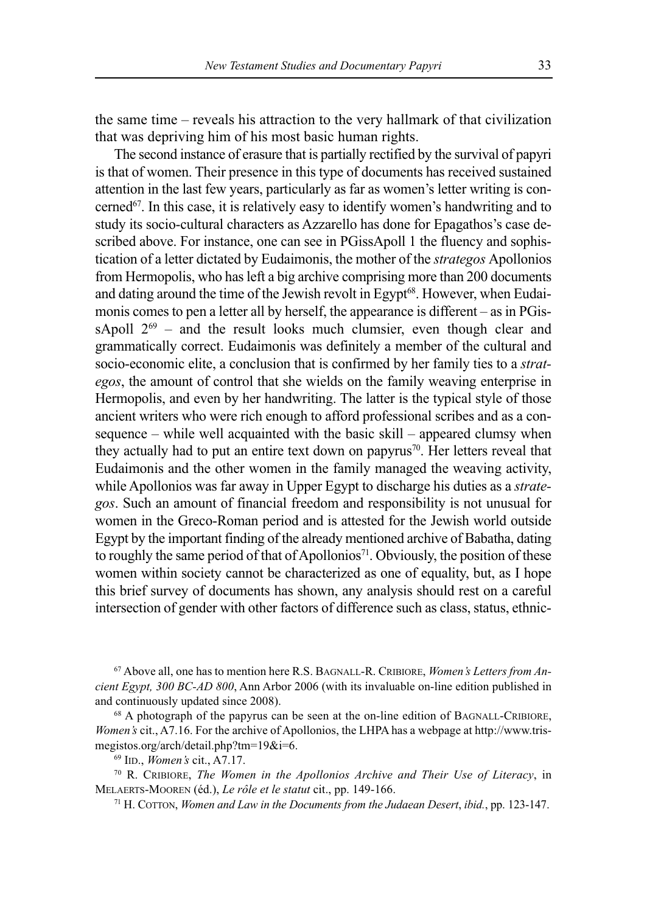the same time – reveals his attraction to the very hallmark of that civilization that was depriving him of his most basic human rights.

The second instance of erasure that is partially rectified by the survival of papyri is that of women. Their presence in this type of documents has received sustained attention in the last few years, particularly as far as women's letter writing is concerned<sup>67</sup>. In this case, it is relatively easy to identify women's handwriting and to study its socio-cultural characters as Azzarello has done for Epagathos's case described above. For instance, one can see in PGissApoll 1 the fluency and sophistication of a letter dictated by Eudaimonis, the mother of the *strategos* Apollonios from Hermopolis, who has left a big archive comprising more than 200 documents and dating around the time of the Jewish revolt in Egypt 68 . However, when Eudaimonis comes to pen a letter all by herself, the appearance is different – as in PGissApoll  $2^{69}$  – and the result looks much clumsier, even though clear and grammatically correct. Eudaimonis was definitely a member of the cultural and socio-economic elite, a conclusion that is confirmed by her family ties to a *strategos*, the amount of control that she wields on the family weaving enterprise in Hermopolis, and even by her handwriting. The latter is the typical style of those ancient writers who were rich enough to afford professional scribes and as a consequence – while well acquainted with the basic skill – appeared clumsy when they actually had to put an entire text down on papyrus<sup>70</sup>. Her letters reveal that Eudaimonis and the other women in the family managed the weaving activity, while Apollonios was far away in Upper Egypt to discharge his duties as a *strategos*. Such an amount of financial freedom and responsibility is not unusual for women in the Greco-Roman period and is attested for the Jewish world outside Egypt by the important finding of the already mentioned archive of Babatha, dating to roughly the same period of that of Apollonios<sup>71</sup>. Obviously, the position of these women within society cannot be characterized as one of equality, but, as I hope this brief survey of documents has shown, any analysis should rest on a careful intersection of gender with other factors of difference such as class, status, ethnic-

<sup>67</sup> Above all, one has to mention here R.S. BAGNALL-R. CRIBIORE, *Women's Letters from Ancient Egypt, 300 BC-AD 800*, Ann Arbor 2006 (with its invaluable on-line edition published in and continuously updated since 2008).

<sup>68</sup> A photograph of the papyrus can be seen at the on-line edition of BAGNALL-CRIBIORE, *Women's* cit., A7.16. For the archive of Apollonios, the LHPA has a webpage at http://www.trismegistos.org/arch/detail.php?tm=19&i=6.

<sup>69</sup> IID., *Women's* cit., A7.17.

<sup>70</sup> R. CRIBIORE, *The Women in the Apollonios Archive and Their Use of Literacy*, in MELAERTS-MOOREN (éd.), *Le rôle et le statut* cit., pp. 149-166.

<sup>71</sup> H. COTTON, *Women and Law in the Documents from the Judaean Desert*, *ibid.*, pp. 123-147.